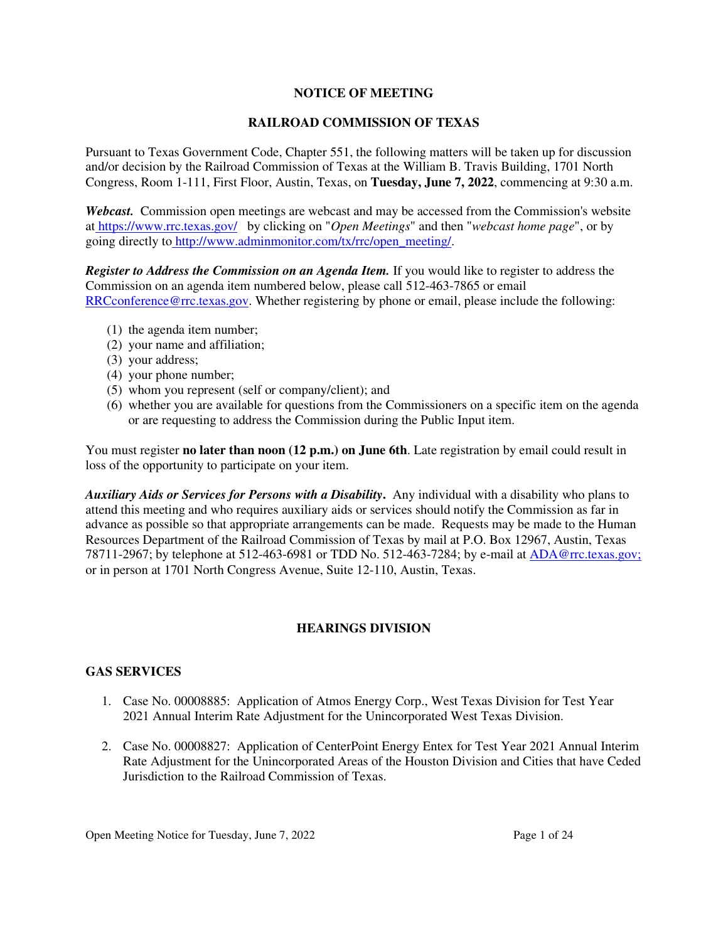### **NOTICE OF MEETING**

### **RAILROAD COMMISSION OF TEXAS**

Pursuant to Texas Government Code, Chapter 551, the following matters will be taken up for discussion and/or decision by the Railroad Commission of Texas at the William B. Travis Building, 1701 North Congress, Room 1-111, First Floor, Austin, Texas, on **Tuesday, June 7, 2022**, commencing at 9:30 a.m.

*Webcast.* Commission open meetings are webcast and may be accessed from the Commission's website at https://www.rrc.texas.gov/ by clicking on "*Open Meetings*" and then "*webcast home page*", or by going directly to http://www.adminmonitor.com/tx/rrc/open\_meeting/.

*Register to Address the Commission on an Agenda Item.* If you would like to register to address the Commission on an agenda item numbered below, please call 512-463-7865 or email RRCconference@rrc.texas.gov. Whether registering by phone or email, please include the following:

- (1) the agenda item number;
- (2) your name and affiliation;
- (3) your address;
- (4) your phone number;
- (5) whom you represent (self or company/client); and
- (6) whether you are available for questions from the Commissioners on a specific item on the agenda or are requesting to address the Commission during the Public Input item.

You must register **no later than noon (12 p.m.) on June 6th**. Late registration by email could result in loss of the opportunity to participate on your item.

*Auxiliary Aids or Services for Persons with a Disability***.** Any individual with a disability who plans to attend this meeting and who requires auxiliary aids or services should notify the Commission as far in advance as possible so that appropriate arrangements can be made. Requests may be made to the Human Resources Department of the Railroad Commission of Texas by mail at P.O. Box 12967, Austin, Texas 78711-2967; by telephone at 512-463-6981 or TDD No. 512-463-7284; by e-mail at ADA@rrc.texas.gov; or in person at 1701 North Congress Avenue, Suite 12-110, Austin, Texas.

# **HEARINGS DIVISION**

## **GAS SERVICES**

- 1. Case No. 00008885: Application of Atmos Energy Corp., West Texas Division for Test Year 2021 Annual Interim Rate Adjustment for the Unincorporated West Texas Division.
- 2. Case No. 00008827: Application of CenterPoint Energy Entex for Test Year 2021 Annual Interim Rate Adjustment for the Unincorporated Areas of the Houston Division and Cities that have Ceded Jurisdiction to the Railroad Commission of Texas.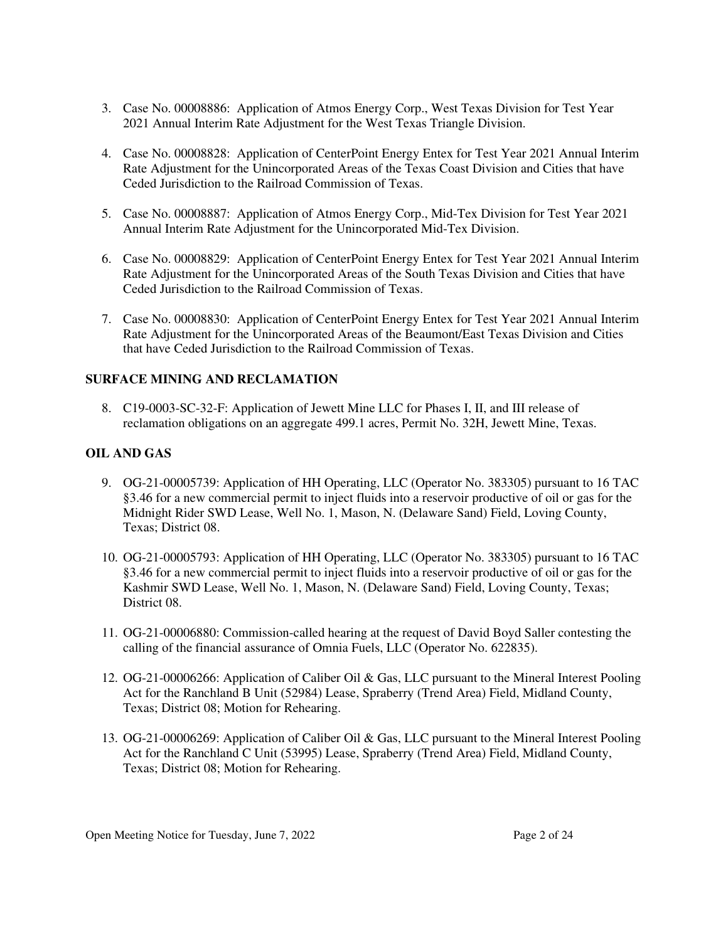- 3. Case No. 00008886: Application of Atmos Energy Corp., West Texas Division for Test Year 2021 Annual Interim Rate Adjustment for the West Texas Triangle Division.
- 4. Case No. 00008828: Application of CenterPoint Energy Entex for Test Year 2021 Annual Interim Rate Adjustment for the Unincorporated Areas of the Texas Coast Division and Cities that have Ceded Jurisdiction to the Railroad Commission of Texas.
- 5. Case No. 00008887: Application of Atmos Energy Corp., Mid-Tex Division for Test Year 2021 Annual Interim Rate Adjustment for the Unincorporated Mid-Tex Division.
- 6. Case No. 00008829: Application of CenterPoint Energy Entex for Test Year 2021 Annual Interim Rate Adjustment for the Unincorporated Areas of the South Texas Division and Cities that have Ceded Jurisdiction to the Railroad Commission of Texas.
- 7. Case No. 00008830: Application of CenterPoint Energy Entex for Test Year 2021 Annual Interim Rate Adjustment for the Unincorporated Areas of the Beaumont/East Texas Division and Cities that have Ceded Jurisdiction to the Railroad Commission of Texas.

## **SURFACE MINING AND RECLAMATION**

8. C19-0003-SC-32-F: Application of Jewett Mine LLC for Phases I, II, and III release of reclamation obligations on an aggregate 499.1 acres, Permit No. 32H, Jewett Mine, Texas.

### **OIL AND GAS**

- 9. OG-21-00005739: Application of HH Operating, LLC (Operator No. 383305) pursuant to 16 TAC §3.46 for a new commercial permit to inject fluids into a reservoir productive of oil or gas for the Midnight Rider SWD Lease, Well No. 1, Mason, N. (Delaware Sand) Field, Loving County, Texas; District 08.
- 10. OG-21-00005793: Application of HH Operating, LLC (Operator No. 383305) pursuant to 16 TAC §3.46 for a new commercial permit to inject fluids into a reservoir productive of oil or gas for the Kashmir SWD Lease, Well No. 1, Mason, N. (Delaware Sand) Field, Loving County, Texas; District 08.
- 11. OG-21-00006880: Commission-called hearing at the request of David Boyd Saller contesting the calling of the financial assurance of Omnia Fuels, LLC (Operator No. 622835).
- 12. OG-21-00006266: Application of Caliber Oil & Gas, LLC pursuant to the Mineral Interest Pooling Act for the Ranchland B Unit (52984) Lease, Spraberry (Trend Area) Field, Midland County, Texas; District 08; Motion for Rehearing.
- 13. OG-21-00006269: Application of Caliber Oil & Gas, LLC pursuant to the Mineral Interest Pooling Act for the Ranchland C Unit (53995) Lease, Spraberry (Trend Area) Field, Midland County, Texas; District 08; Motion for Rehearing.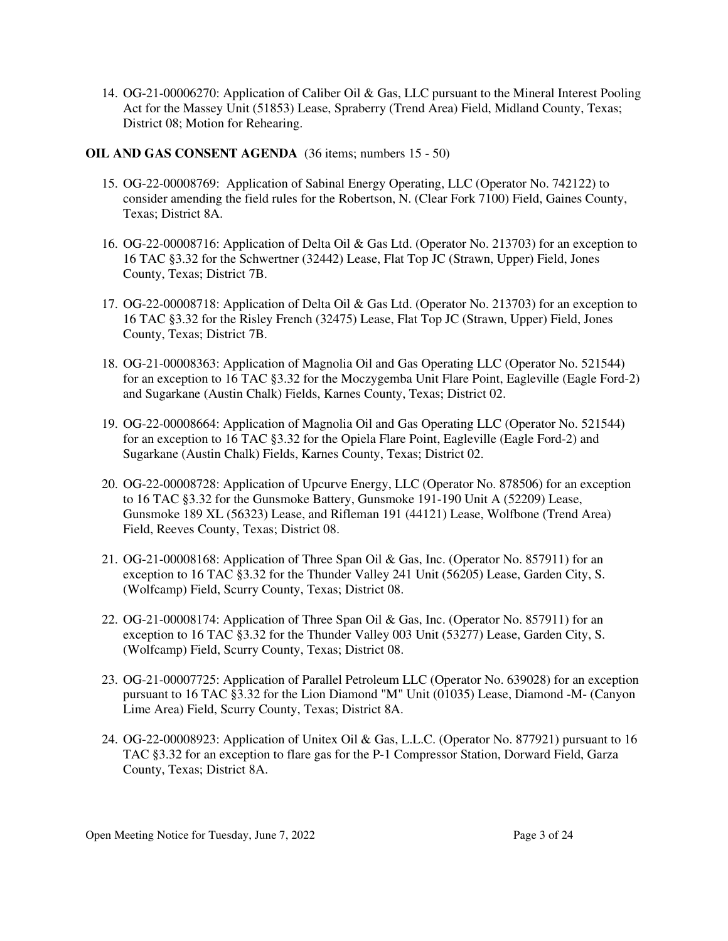14. OG-21-00006270: Application of Caliber Oil & Gas, LLC pursuant to the Mineral Interest Pooling Act for the Massey Unit (51853) Lease, Spraberry (Trend Area) Field, Midland County, Texas; District 08; Motion for Rehearing.

### **OIL AND GAS CONSENT AGENDA** (36 items; numbers 15 - 50)

- 15. OG-22-00008769: Application of Sabinal Energy Operating, LLC (Operator No. 742122) to consider amending the field rules for the Robertson, N. (Clear Fork 7100) Field, Gaines County, Texas; District 8A.
- 16. OG-22-00008716: Application of Delta Oil & Gas Ltd. (Operator No. 213703) for an exception to 16 TAC §3.32 for the Schwertner (32442) Lease, Flat Top JC (Strawn, Upper) Field, Jones County, Texas; District 7B.
- 17. OG-22-00008718: Application of Delta Oil & Gas Ltd. (Operator No. 213703) for an exception to 16 TAC §3.32 for the Risley French (32475) Lease, Flat Top JC (Strawn, Upper) Field, Jones County, Texas; District 7B.
- 18. OG-21-00008363: Application of Magnolia Oil and Gas Operating LLC (Operator No. 521544) for an exception to 16 TAC §3.32 for the Moczygemba Unit Flare Point, Eagleville (Eagle Ford-2) and Sugarkane (Austin Chalk) Fields, Karnes County, Texas; District 02.
- 19. OG-22-00008664: Application of Magnolia Oil and Gas Operating LLC (Operator No. 521544) for an exception to 16 TAC §3.32 for the Opiela Flare Point, Eagleville (Eagle Ford-2) and Sugarkane (Austin Chalk) Fields, Karnes County, Texas; District 02.
- 20. OG-22-00008728: Application of Upcurve Energy, LLC (Operator No. 878506) for an exception to 16 TAC §3.32 for the Gunsmoke Battery, Gunsmoke 191-190 Unit A (52209) Lease, Gunsmoke 189 XL (56323) Lease, and Rifleman 191 (44121) Lease, Wolfbone (Trend Area) Field, Reeves County, Texas; District 08.
- 21. OG-21-00008168: Application of Three Span Oil & Gas, Inc. (Operator No. 857911) for an exception to 16 TAC §3.32 for the Thunder Valley 241 Unit (56205) Lease, Garden City, S. (Wolfcamp) Field, Scurry County, Texas; District 08.
- 22. OG-21-00008174: Application of Three Span Oil & Gas, Inc. (Operator No. 857911) for an exception to 16 TAC §3.32 for the Thunder Valley 003 Unit (53277) Lease, Garden City, S. (Wolfcamp) Field, Scurry County, Texas; District 08.
- 23. OG-21-00007725: Application of Parallel Petroleum LLC (Operator No. 639028) for an exception pursuant to 16 TAC §3.32 for the Lion Diamond "M" Unit (01035) Lease, Diamond -M- (Canyon Lime Area) Field, Scurry County, Texas; District 8A.
- 24. OG-22-00008923: Application of Unitex Oil & Gas, L.L.C. (Operator No. 877921) pursuant to 16 TAC §3.32 for an exception to flare gas for the P-1 Compressor Station, Dorward Field, Garza County, Texas; District 8A.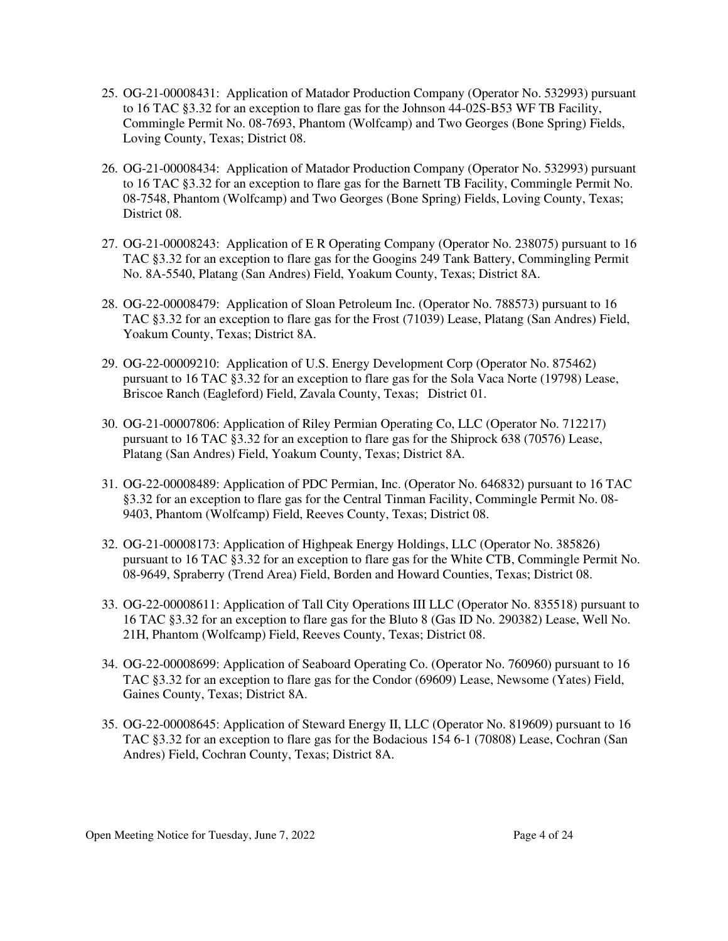- 25. OG-21-00008431: Application of Matador Production Company (Operator No. 532993) pursuant to 16 TAC §3.32 for an exception to flare gas for the Johnson 44-02S-B53 WF TB Facility, Commingle Permit No. 08-7693, Phantom (Wolfcamp) and Two Georges (Bone Spring) Fields, Loving County, Texas; District 08.
- 26. OG-21-00008434: Application of Matador Production Company (Operator No. 532993) pursuant to 16 TAC §3.32 for an exception to flare gas for the Barnett TB Facility, Commingle Permit No. 08-7548, Phantom (Wolfcamp) and Two Georges (Bone Spring) Fields, Loving County, Texas; District 08.
- 27. OG-21-00008243: Application of E R Operating Company (Operator No. 238075) pursuant to 16 TAC §3.32 for an exception to flare gas for the Googins 249 Tank Battery, Commingling Permit No. 8A-5540, Platang (San Andres) Field, Yoakum County, Texas; District 8A.
- 28. OG-22-00008479: Application of Sloan Petroleum Inc. (Operator No. 788573) pursuant to 16 TAC §3.32 for an exception to flare gas for the Frost (71039) Lease, Platang (San Andres) Field, Yoakum County, Texas; District 8A.
- 29. OG-22-00009210: Application of U.S. Energy Development Corp (Operator No. 875462) pursuant to 16 TAC §3.32 for an exception to flare gas for the Sola Vaca Norte (19798) Lease, Briscoe Ranch (Eagleford) Field, Zavala County, Texas; District 01.
- 30. OG-21-00007806: Application of Riley Permian Operating Co, LLC (Operator No. 712217) pursuant to 16 TAC §3.32 for an exception to flare gas for the Shiprock 638 (70576) Lease, Platang (San Andres) Field, Yoakum County, Texas; District 8A.
- 31. OG-22-00008489: Application of PDC Permian, Inc. (Operator No. 646832) pursuant to 16 TAC §3.32 for an exception to flare gas for the Central Tinman Facility, Commingle Permit No. 08- 9403, Phantom (Wolfcamp) Field, Reeves County, Texas; District 08.
- 32. OG-21-00008173: Application of Highpeak Energy Holdings, LLC (Operator No. 385826) pursuant to 16 TAC §3.32 for an exception to flare gas for the White CTB, Commingle Permit No. 08-9649, Spraberry (Trend Area) Field, Borden and Howard Counties, Texas; District 08.
- 33. OG-22-00008611: Application of Tall City Operations III LLC (Operator No. 835518) pursuant to 16 TAC §3.32 for an exception to flare gas for the Bluto 8 (Gas ID No. 290382) Lease, Well No. 21H, Phantom (Wolfcamp) Field, Reeves County, Texas; District 08.
- 34. OG-22-00008699: Application of Seaboard Operating Co. (Operator No. 760960) pursuant to 16 TAC §3.32 for an exception to flare gas for the Condor (69609) Lease, Newsome (Yates) Field, Gaines County, Texas; District 8A.
- 35. OG-22-00008645: Application of Steward Energy II, LLC (Operator No. 819609) pursuant to 16 TAC §3.32 for an exception to flare gas for the Bodacious 154 6-1 (70808) Lease, Cochran (San Andres) Field, Cochran County, Texas; District 8A.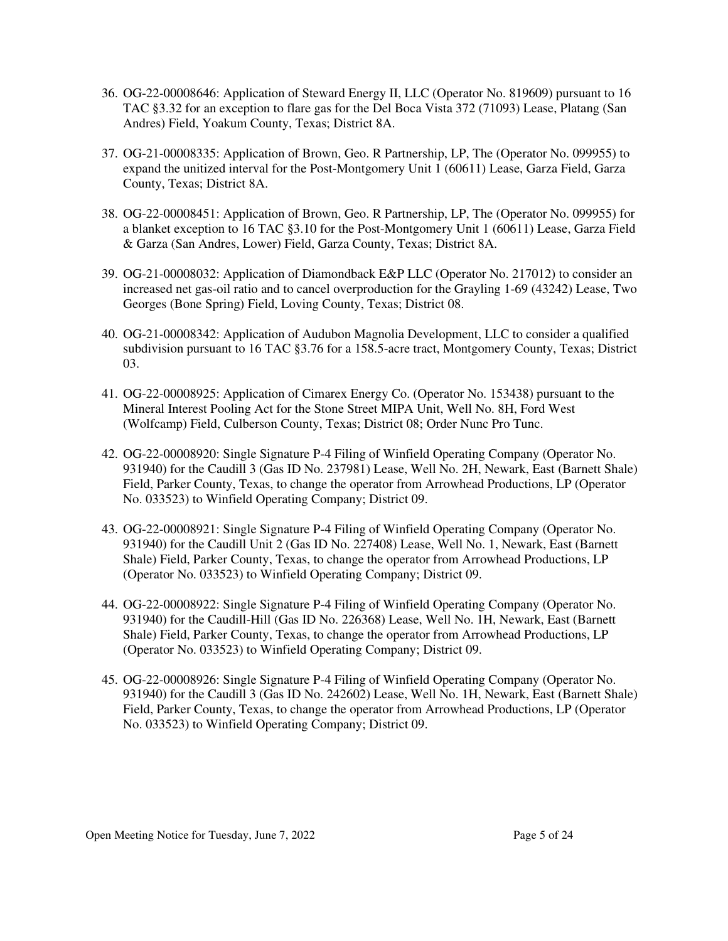- 36. OG-22-00008646: Application of Steward Energy II, LLC (Operator No. 819609) pursuant to 16 TAC §3.32 for an exception to flare gas for the Del Boca Vista 372 (71093) Lease, Platang (San Andres) Field, Yoakum County, Texas; District 8A.
- 37. OG-21-00008335: Application of Brown, Geo. R Partnership, LP, The (Operator No. 099955) to expand the unitized interval for the Post-Montgomery Unit 1 (60611) Lease, Garza Field, Garza County, Texas; District 8A.
- 38. OG-22-00008451: Application of Brown, Geo. R Partnership, LP, The (Operator No. 099955) for a blanket exception to 16 TAC §3.10 for the Post-Montgomery Unit 1 (60611) Lease, Garza Field & Garza (San Andres, Lower) Field, Garza County, Texas; District 8A.
- 39. OG-21-00008032: Application of Diamondback E&P LLC (Operator No. 217012) to consider an increased net gas-oil ratio and to cancel overproduction for the Grayling 1-69 (43242) Lease, Two Georges (Bone Spring) Field, Loving County, Texas; District 08.
- 40. OG-21-00008342: Application of Audubon Magnolia Development, LLC to consider a qualified subdivision pursuant to 16 TAC §3.76 for a 158.5-acre tract, Montgomery County, Texas; District 03.
- 41. OG-22-00008925: Application of Cimarex Energy Co. (Operator No. 153438) pursuant to the Mineral Interest Pooling Act for the Stone Street MIPA Unit, Well No. 8H, Ford West (Wolfcamp) Field, Culberson County, Texas; District 08; Order Nunc Pro Tunc.
- 42. OG-22-00008920: Single Signature P-4 Filing of Winfield Operating Company (Operator No. 931940) for the Caudill 3 (Gas ID No. 237981) Lease, Well No. 2H, Newark, East (Barnett Shale) Field, Parker County, Texas, to change the operator from Arrowhead Productions, LP (Operator No. 033523) to Winfield Operating Company; District 09.
- 43. OG-22-00008921: Single Signature P-4 Filing of Winfield Operating Company (Operator No. 931940) for the Caudill Unit 2 (Gas ID No. 227408) Lease, Well No. 1, Newark, East (Barnett Shale) Field, Parker County, Texas, to change the operator from Arrowhead Productions, LP (Operator No. 033523) to Winfield Operating Company; District 09.
- 44. OG-22-00008922: Single Signature P-4 Filing of Winfield Operating Company (Operator No. 931940) for the Caudill-Hill (Gas ID No. 226368) Lease, Well No. 1H, Newark, East (Barnett Shale) Field, Parker County, Texas, to change the operator from Arrowhead Productions, LP (Operator No. 033523) to Winfield Operating Company; District 09.
- 45. OG-22-00008926: Single Signature P-4 Filing of Winfield Operating Company (Operator No. 931940) for the Caudill 3 (Gas ID No. 242602) Lease, Well No. 1H, Newark, East (Barnett Shale) Field, Parker County, Texas, to change the operator from Arrowhead Productions, LP (Operator No. 033523) to Winfield Operating Company; District 09.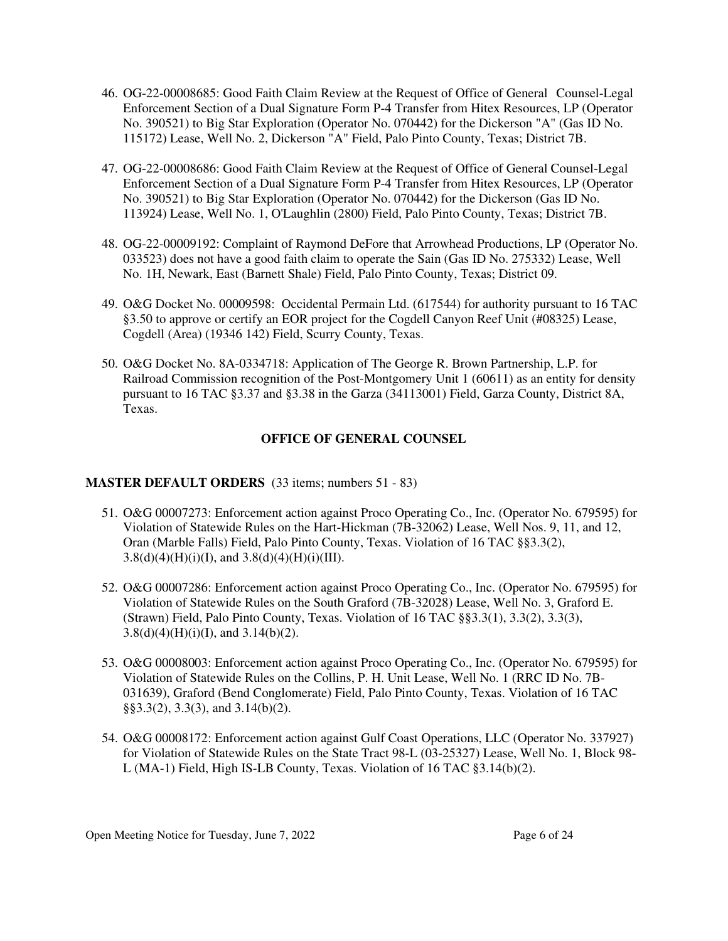- 46. OG-22-00008685: Good Faith Claim Review at the Request of Office of General Counsel-Legal Enforcement Section of a Dual Signature Form P-4 Transfer from Hitex Resources, LP (Operator No. 390521) to Big Star Exploration (Operator No. 070442) for the Dickerson "A" (Gas ID No. 115172) Lease, Well No. 2, Dickerson "A" Field, Palo Pinto County, Texas; District 7B.
- 47. OG-22-00008686: Good Faith Claim Review at the Request of Office of General Counsel-Legal Enforcement Section of a Dual Signature Form P-4 Transfer from Hitex Resources, LP (Operator No. 390521) to Big Star Exploration (Operator No. 070442) for the Dickerson (Gas ID No. 113924) Lease, Well No. 1, O'Laughlin (2800) Field, Palo Pinto County, Texas; District 7B.
- 48. OG-22-00009192: Complaint of Raymond DeFore that Arrowhead Productions, LP (Operator No. 033523) does not have a good faith claim to operate the Sain (Gas ID No. 275332) Lease, Well No. 1H, Newark, East (Barnett Shale) Field, Palo Pinto County, Texas; District 09.
- 49. O&G Docket No. 00009598: Occidental Permain Ltd. (617544) for authority pursuant to 16 TAC §3.50 to approve or certify an EOR project for the Cogdell Canyon Reef Unit (#08325) Lease, Cogdell (Area) (19346 142) Field, Scurry County, Texas.
- 50. O&G Docket No. 8A-0334718: Application of The George R. Brown Partnership, L.P. for Railroad Commission recognition of the Post-Montgomery Unit 1 (60611) as an entity for density pursuant to 16 TAC §3.37 and §3.38 in the Garza (34113001) Field, Garza County, District 8A, Texas.

### **OFFICE OF GENERAL COUNSEL**

### **MASTER DEFAULT ORDERS** (33 items; numbers 51 - 83)

- 51. O&G 00007273: Enforcement action against Proco Operating Co., Inc. (Operator No. 679595) for Violation of Statewide Rules on the Hart-Hickman (7B-32062) Lease, Well Nos. 9, 11, and 12, Oran (Marble Falls) Field, Palo Pinto County, Texas. Violation of 16 TAC §§3.3(2),  $3.8(d)(4)(H)(i)(I)$ , and  $3.8(d)(4)(H)(i)(III)$ .
- 52. O&G 00007286: Enforcement action against Proco Operating Co., Inc. (Operator No. 679595) for Violation of Statewide Rules on the South Graford (7B-32028) Lease, Well No. 3, Graford E. (Strawn) Field, Palo Pinto County, Texas. Violation of 16 TAC §§3.3(1), 3.3(2), 3.3(3),  $3.8(d)(4)(H)(i)(I)$ , and  $3.14(b)(2)$ .
- 53. O&G 00008003: Enforcement action against Proco Operating Co., Inc. (Operator No. 679595) for Violation of Statewide Rules on the Collins, P. H. Unit Lease, Well No. 1 (RRC ID No. 7B-031639), Graford (Bend Conglomerate) Field, Palo Pinto County, Texas. Violation of 16 TAC §§3.3(2), 3.3(3), and 3.14(b)(2).
- 54. O&G 00008172: Enforcement action against Gulf Coast Operations, LLC (Operator No. 337927) for Violation of Statewide Rules on the State Tract 98-L (03-25327) Lease, Well No. 1, Block 98- L (MA-1) Field, High IS-LB County, Texas. Violation of 16 TAC §3.14(b)(2).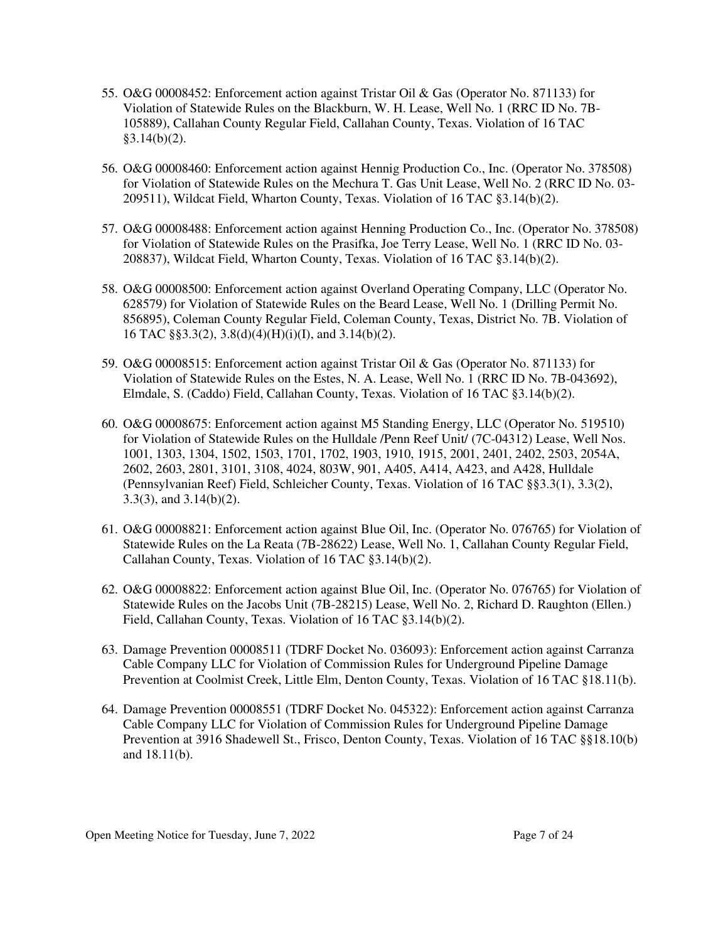- 55. O&G 00008452: Enforcement action against Tristar Oil & Gas (Operator No. 871133) for Violation of Statewide Rules on the Blackburn, W. H. Lease, Well No. 1 (RRC ID No. 7B-105889), Callahan County Regular Field, Callahan County, Texas. Violation of 16 TAC  $§3.14(b)(2)$ .
- 56. O&G 00008460: Enforcement action against Hennig Production Co., Inc. (Operator No. 378508) for Violation of Statewide Rules on the Mechura T. Gas Unit Lease, Well No. 2 (RRC ID No. 03- 209511), Wildcat Field, Wharton County, Texas. Violation of 16 TAC §3.14(b)(2).
- 57. O&G 00008488: Enforcement action against Henning Production Co., Inc. (Operator No. 378508) for Violation of Statewide Rules on the Prasifka, Joe Terry Lease, Well No. 1 (RRC ID No. 03- 208837), Wildcat Field, Wharton County, Texas. Violation of 16 TAC §3.14(b)(2).
- 58. O&G 00008500: Enforcement action against Overland Operating Company, LLC (Operator No. 628579) for Violation of Statewide Rules on the Beard Lease, Well No. 1 (Drilling Permit No. 856895), Coleman County Regular Field, Coleman County, Texas, District No. 7B. Violation of 16 TAC §§3.3(2), 3.8(d)(4)(H)(i)(I), and 3.14(b)(2).
- 59. O&G 00008515: Enforcement action against Tristar Oil & Gas (Operator No. 871133) for Violation of Statewide Rules on the Estes, N. A. Lease, Well No. 1 (RRC ID No. 7B-043692), Elmdale, S. (Caddo) Field, Callahan County, Texas. Violation of 16 TAC §3.14(b)(2).
- 60. O&G 00008675: Enforcement action against M5 Standing Energy, LLC (Operator No. 519510) for Violation of Statewide Rules on the Hulldale /Penn Reef Unit/ (7C-04312) Lease, Well Nos. 1001, 1303, 1304, 1502, 1503, 1701, 1702, 1903, 1910, 1915, 2001, 2401, 2402, 2503, 2054A, 2602, 2603, 2801, 3101, 3108, 4024, 803W, 901, A405, A414, A423, and A428, Hulldale (Pennsylvanian Reef) Field, Schleicher County, Texas. Violation of 16 TAC §§3.3(1), 3.3(2), 3.3(3), and 3.14(b)(2).
- 61. O&G 00008821: Enforcement action against Blue Oil, Inc. (Operator No. 076765) for Violation of Statewide Rules on the La Reata (7B-28622) Lease, Well No. 1, Callahan County Regular Field, Callahan County, Texas. Violation of 16 TAC §3.14(b)(2).
- 62. O&G 00008822: Enforcement action against Blue Oil, Inc. (Operator No. 076765) for Violation of Statewide Rules on the Jacobs Unit (7B-28215) Lease, Well No. 2, Richard D. Raughton (Ellen.) Field, Callahan County, Texas. Violation of 16 TAC §3.14(b)(2).
- 63. Damage Prevention 00008511 (TDRF Docket No. 036093): Enforcement action against Carranza Cable Company LLC for Violation of Commission Rules for Underground Pipeline Damage Prevention at Coolmist Creek, Little Elm, Denton County, Texas. Violation of 16 TAC §18.11(b).
- 64. Damage Prevention 00008551 (TDRF Docket No. 045322): Enforcement action against Carranza Cable Company LLC for Violation of Commission Rules for Underground Pipeline Damage Prevention at 3916 Shadewell St., Frisco, Denton County, Texas. Violation of 16 TAC §§18.10(b) and 18.11(b).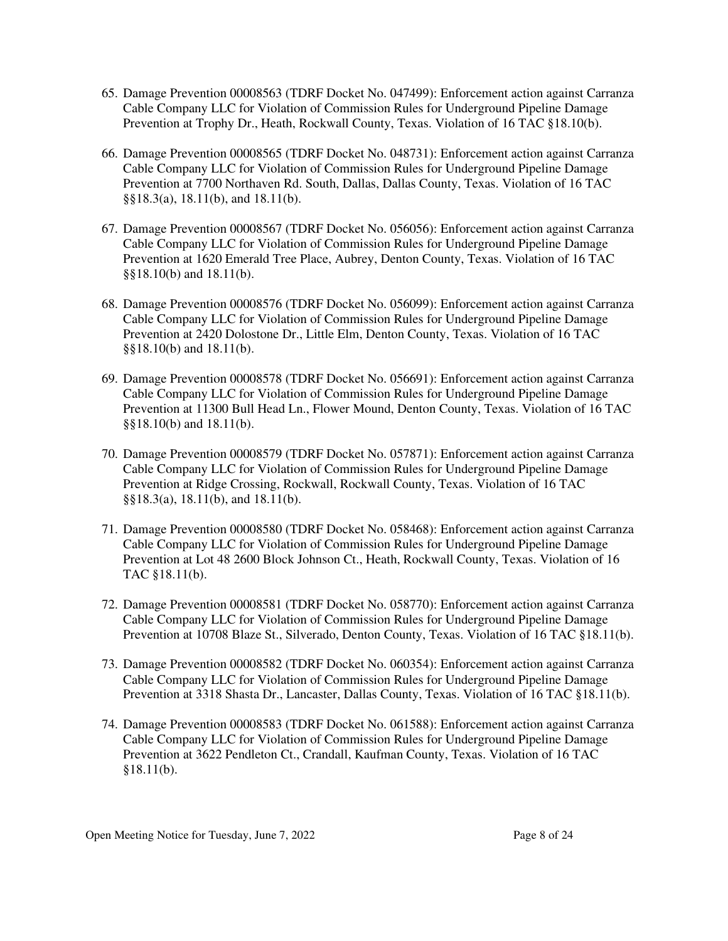- 65. Damage Prevention 00008563 (TDRF Docket No. 047499): Enforcement action against Carranza Cable Company LLC for Violation of Commission Rules for Underground Pipeline Damage Prevention at Trophy Dr., Heath, Rockwall County, Texas. Violation of 16 TAC §18.10(b).
- 66. Damage Prevention 00008565 (TDRF Docket No. 048731): Enforcement action against Carranza Cable Company LLC for Violation of Commission Rules for Underground Pipeline Damage Prevention at 7700 Northaven Rd. South, Dallas, Dallas County, Texas. Violation of 16 TAC §§18.3(a), 18.11(b), and 18.11(b).
- 67. Damage Prevention 00008567 (TDRF Docket No. 056056): Enforcement action against Carranza Cable Company LLC for Violation of Commission Rules for Underground Pipeline Damage Prevention at 1620 Emerald Tree Place, Aubrey, Denton County, Texas. Violation of 16 TAC §§18.10(b) and 18.11(b).
- 68. Damage Prevention 00008576 (TDRF Docket No. 056099): Enforcement action against Carranza Cable Company LLC for Violation of Commission Rules for Underground Pipeline Damage Prevention at 2420 Dolostone Dr., Little Elm, Denton County, Texas. Violation of 16 TAC §§18.10(b) and 18.11(b).
- 69. Damage Prevention 00008578 (TDRF Docket No. 056691): Enforcement action against Carranza Cable Company LLC for Violation of Commission Rules for Underground Pipeline Damage Prevention at 11300 Bull Head Ln., Flower Mound, Denton County, Texas. Violation of 16 TAC §§18.10(b) and 18.11(b).
- 70. Damage Prevention 00008579 (TDRF Docket No. 057871): Enforcement action against Carranza Cable Company LLC for Violation of Commission Rules for Underground Pipeline Damage Prevention at Ridge Crossing, Rockwall, Rockwall County, Texas. Violation of 16 TAC §§18.3(a), 18.11(b), and 18.11(b).
- 71. Damage Prevention 00008580 (TDRF Docket No. 058468): Enforcement action against Carranza Cable Company LLC for Violation of Commission Rules for Underground Pipeline Damage Prevention at Lot 48 2600 Block Johnson Ct., Heath, Rockwall County, Texas. Violation of 16 TAC §18.11(b).
- 72. Damage Prevention 00008581 (TDRF Docket No. 058770): Enforcement action against Carranza Cable Company LLC for Violation of Commission Rules for Underground Pipeline Damage Prevention at 10708 Blaze St., Silverado, Denton County, Texas. Violation of 16 TAC §18.11(b).
- 73. Damage Prevention 00008582 (TDRF Docket No. 060354): Enforcement action against Carranza Cable Company LLC for Violation of Commission Rules for Underground Pipeline Damage Prevention at 3318 Shasta Dr., Lancaster, Dallas County, Texas. Violation of 16 TAC §18.11(b).
- 74. Damage Prevention 00008583 (TDRF Docket No. 061588): Enforcement action against Carranza Cable Company LLC for Violation of Commission Rules for Underground Pipeline Damage Prevention at 3622 Pendleton Ct., Crandall, Kaufman County, Texas. Violation of 16 TAC §18.11(b).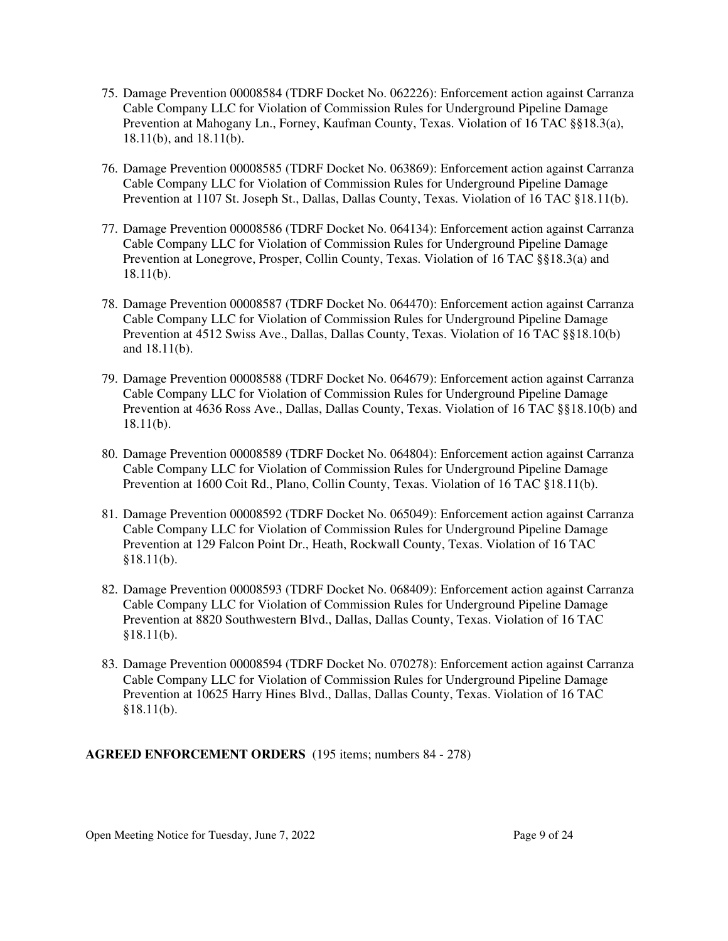- 75. Damage Prevention 00008584 (TDRF Docket No. 062226): Enforcement action against Carranza Cable Company LLC for Violation of Commission Rules for Underground Pipeline Damage Prevention at Mahogany Ln., Forney, Kaufman County, Texas. Violation of 16 TAC §§18.3(a), 18.11(b), and 18.11(b).
- 76. Damage Prevention 00008585 (TDRF Docket No. 063869): Enforcement action against Carranza Cable Company LLC for Violation of Commission Rules for Underground Pipeline Damage Prevention at 1107 St. Joseph St., Dallas, Dallas County, Texas. Violation of 16 TAC §18.11(b).
- 77. Damage Prevention 00008586 (TDRF Docket No. 064134): Enforcement action against Carranza Cable Company LLC for Violation of Commission Rules for Underground Pipeline Damage Prevention at Lonegrove, Prosper, Collin County, Texas. Violation of 16 TAC §§18.3(a) and  $18.11(b)$ .
- 78. Damage Prevention 00008587 (TDRF Docket No. 064470): Enforcement action against Carranza Cable Company LLC for Violation of Commission Rules for Underground Pipeline Damage Prevention at 4512 Swiss Ave., Dallas, Dallas County, Texas. Violation of 16 TAC §§18.10(b) and 18.11(b).
- 79. Damage Prevention 00008588 (TDRF Docket No. 064679): Enforcement action against Carranza Cable Company LLC for Violation of Commission Rules for Underground Pipeline Damage Prevention at 4636 Ross Ave., Dallas, Dallas County, Texas. Violation of 16 TAC §§18.10(b) and 18.11(b).
- 80. Damage Prevention 00008589 (TDRF Docket No. 064804): Enforcement action against Carranza Cable Company LLC for Violation of Commission Rules for Underground Pipeline Damage Prevention at 1600 Coit Rd., Plano, Collin County, Texas. Violation of 16 TAC §18.11(b).
- 81. Damage Prevention 00008592 (TDRF Docket No. 065049): Enforcement action against Carranza Cable Company LLC for Violation of Commission Rules for Underground Pipeline Damage Prevention at 129 Falcon Point Dr., Heath, Rockwall County, Texas. Violation of 16 TAC §18.11(b).
- 82. Damage Prevention 00008593 (TDRF Docket No. 068409): Enforcement action against Carranza Cable Company LLC for Violation of Commission Rules for Underground Pipeline Damage Prevention at 8820 Southwestern Blvd., Dallas, Dallas County, Texas. Violation of 16 TAC §18.11(b).
- 83. Damage Prevention 00008594 (TDRF Docket No. 070278): Enforcement action against Carranza Cable Company LLC for Violation of Commission Rules for Underground Pipeline Damage Prevention at 10625 Harry Hines Blvd., Dallas, Dallas County, Texas. Violation of 16 TAC  $§18.11(b).$

**AGREED ENFORCEMENT ORDERS** (195 items; numbers 84 - 278)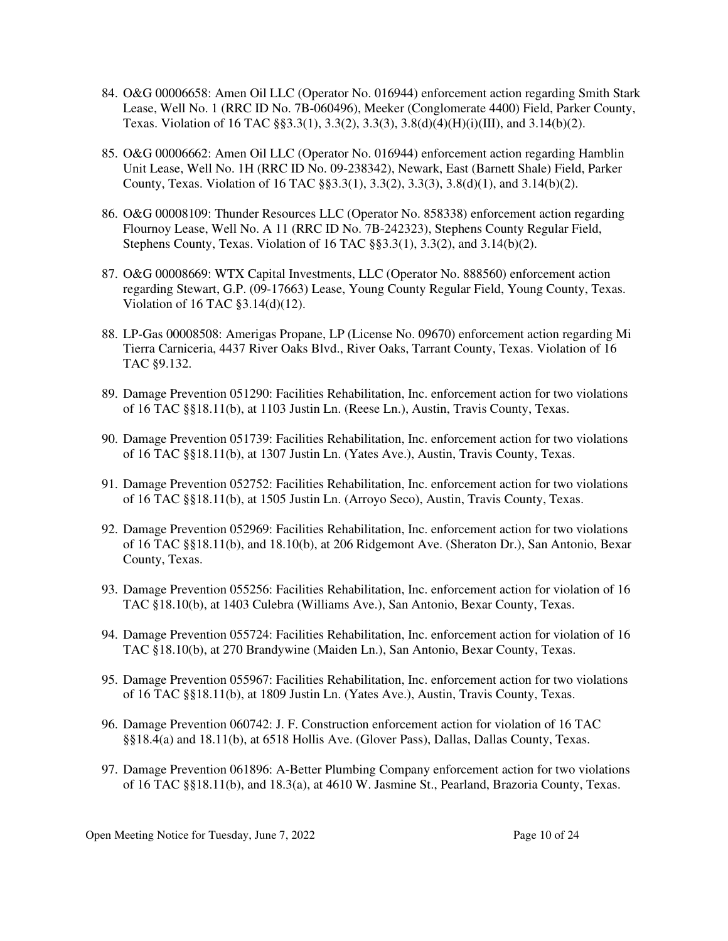- 84. O&G 00006658: Amen Oil LLC (Operator No. 016944) enforcement action regarding Smith Stark Lease, Well No. 1 (RRC ID No. 7B-060496), Meeker (Conglomerate 4400) Field, Parker County, Texas. Violation of 16 TAC §§3.3(1), 3.3(2), 3.3(3), 3.8(d)(4)(H)(i)(III), and 3.14(b)(2).
- 85. O&G 00006662: Amen Oil LLC (Operator No. 016944) enforcement action regarding Hamblin Unit Lease, Well No. 1H (RRC ID No. 09-238342), Newark, East (Barnett Shale) Field, Parker County, Texas. Violation of 16 TAC  $\S$ §3.3(1), 3.3(2), 3.3(3), 3.8(d)(1), and 3.14(b)(2).
- 86. O&G 00008109: Thunder Resources LLC (Operator No. 858338) enforcement action regarding Flournoy Lease, Well No. A 11 (RRC ID No. 7B-242323), Stephens County Regular Field, Stephens County, Texas. Violation of 16 TAC §§3.3(1), 3.3(2), and 3.14(b)(2).
- 87. O&G 00008669: WTX Capital Investments, LLC (Operator No. 888560) enforcement action regarding Stewart, G.P. (09-17663) Lease, Young County Regular Field, Young County, Texas. Violation of 16 TAC §3.14(d)(12).
- 88. LP-Gas 00008508: Amerigas Propane, LP (License No. 09670) enforcement action regarding Mi Tierra Carniceria, 4437 River Oaks Blvd., River Oaks, Tarrant County, Texas. Violation of 16 TAC §9.132.
- 89. Damage Prevention 051290: Facilities Rehabilitation, Inc. enforcement action for two violations of 16 TAC §§18.11(b), at 1103 Justin Ln. (Reese Ln.), Austin, Travis County, Texas.
- 90. Damage Prevention 051739: Facilities Rehabilitation, Inc. enforcement action for two violations of 16 TAC §§18.11(b), at 1307 Justin Ln. (Yates Ave.), Austin, Travis County, Texas.
- 91. Damage Prevention 052752: Facilities Rehabilitation, Inc. enforcement action for two violations of 16 TAC §§18.11(b), at 1505 Justin Ln. (Arroyo Seco), Austin, Travis County, Texas.
- 92. Damage Prevention 052969: Facilities Rehabilitation, Inc. enforcement action for two violations of 16 TAC §§18.11(b), and 18.10(b), at 206 Ridgemont Ave. (Sheraton Dr.), San Antonio, Bexar County, Texas.
- 93. Damage Prevention 055256: Facilities Rehabilitation, Inc. enforcement action for violation of 16 TAC §18.10(b), at 1403 Culebra (Williams Ave.), San Antonio, Bexar County, Texas.
- 94. Damage Prevention 055724: Facilities Rehabilitation, Inc. enforcement action for violation of 16 TAC §18.10(b), at 270 Brandywine (Maiden Ln.), San Antonio, Bexar County, Texas.
- 95. Damage Prevention 055967: Facilities Rehabilitation, Inc. enforcement action for two violations of 16 TAC §§18.11(b), at 1809 Justin Ln. (Yates Ave.), Austin, Travis County, Texas.
- 96. Damage Prevention 060742: J. F. Construction enforcement action for violation of 16 TAC §§18.4(a) and 18.11(b), at 6518 Hollis Ave. (Glover Pass), Dallas, Dallas County, Texas.
- 97. Damage Prevention 061896: A-Better Plumbing Company enforcement action for two violations of 16 TAC §§18.11(b), and 18.3(a), at 4610 W. Jasmine St., Pearland, Brazoria County, Texas.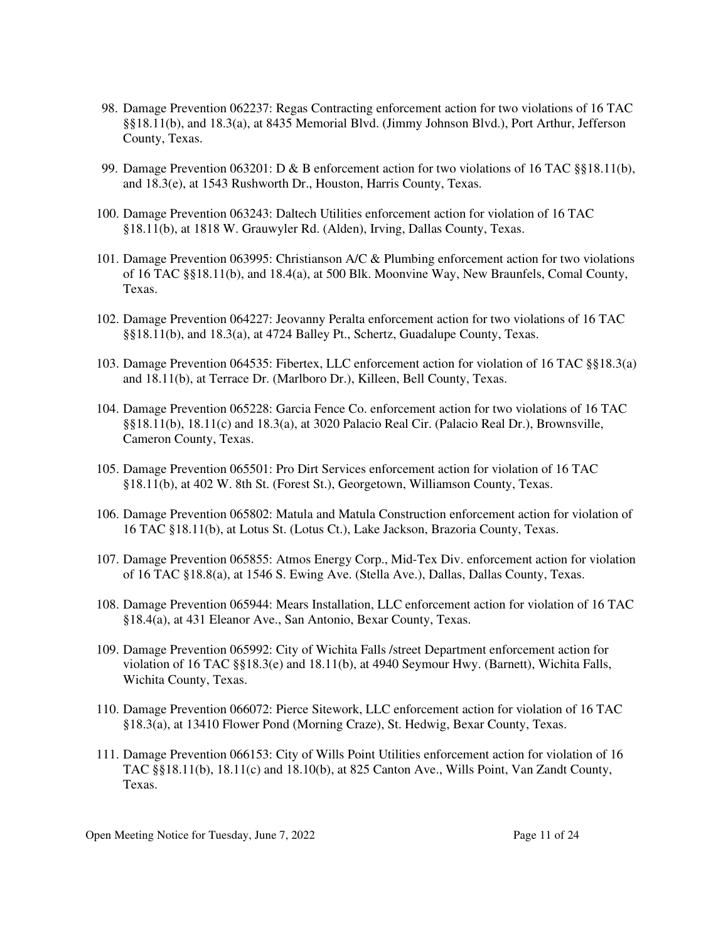- 98. Damage Prevention 062237: Regas Contracting enforcement action for two violations of 16 TAC §§18.11(b), and 18.3(a), at 8435 Memorial Blvd. (Jimmy Johnson Blvd.), Port Arthur, Jefferson County, Texas.
- 99. Damage Prevention 063201: D & B enforcement action for two violations of 16 TAC §§18.11(b), and 18.3(e), at 1543 Rushworth Dr., Houston, Harris County, Texas.
- 100. Damage Prevention 063243: Daltech Utilities enforcement action for violation of 16 TAC §18.11(b), at 1818 W. Grauwyler Rd. (Alden), Irving, Dallas County, Texas.
- 101. Damage Prevention 063995: Christianson A/C & Plumbing enforcement action for two violations of 16 TAC §§18.11(b), and 18.4(a), at 500 Blk. Moonvine Way, New Braunfels, Comal County, Texas.
- 102. Damage Prevention 064227: Jeovanny Peralta enforcement action for two violations of 16 TAC §§18.11(b), and 18.3(a), at 4724 Balley Pt., Schertz, Guadalupe County, Texas.
- 103. Damage Prevention 064535: Fibertex, LLC enforcement action for violation of 16 TAC §§18.3(a) and 18.11(b), at Terrace Dr. (Marlboro Dr.), Killeen, Bell County, Texas.
- 104. Damage Prevention 065228: Garcia Fence Co. enforcement action for two violations of 16 TAC §§18.11(b), 18.11(c) and 18.3(a), at 3020 Palacio Real Cir. (Palacio Real Dr.), Brownsville, Cameron County, Texas.
- 105. Damage Prevention 065501: Pro Dirt Services enforcement action for violation of 16 TAC §18.11(b), at 402 W. 8th St. (Forest St.), Georgetown, Williamson County, Texas.
- 106. Damage Prevention 065802: Matula and Matula Construction enforcement action for violation of 16 TAC §18.11(b), at Lotus St. (Lotus Ct.), Lake Jackson, Brazoria County, Texas.
- 107. Damage Prevention 065855: Atmos Energy Corp., Mid-Tex Div. enforcement action for violation of 16 TAC §18.8(a), at 1546 S. Ewing Ave. (Stella Ave.), Dallas, Dallas County, Texas.
- 108. Damage Prevention 065944: Mears Installation, LLC enforcement action for violation of 16 TAC §18.4(a), at 431 Eleanor Ave., San Antonio, Bexar County, Texas.
- 109. Damage Prevention 065992: City of Wichita Falls /street Department enforcement action for violation of 16 TAC §§18.3(e) and 18.11(b), at 4940 Seymour Hwy. (Barnett), Wichita Falls, Wichita County, Texas.
- 110. Damage Prevention 066072: Pierce Sitework, LLC enforcement action for violation of 16 TAC §18.3(a), at 13410 Flower Pond (Morning Craze), St. Hedwig, Bexar County, Texas.
- 111. Damage Prevention 066153: City of Wills Point Utilities enforcement action for violation of 16 TAC §§18.11(b), 18.11(c) and 18.10(b), at 825 Canton Ave., Wills Point, Van Zandt County, Texas.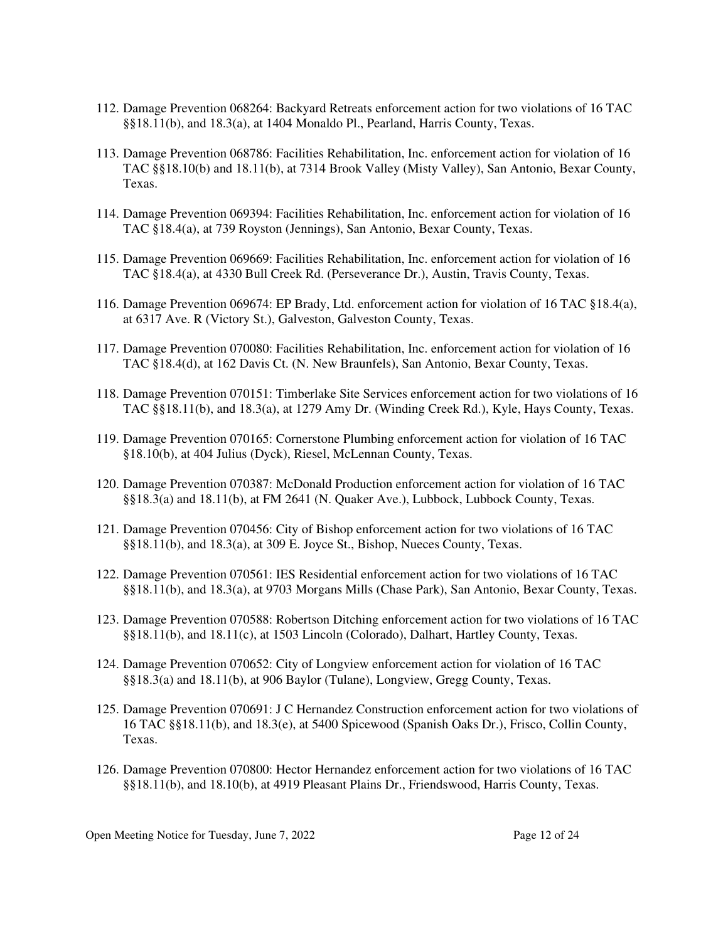- 112. Damage Prevention 068264: Backyard Retreats enforcement action for two violations of 16 TAC §§18.11(b), and 18.3(a), at 1404 Monaldo Pl., Pearland, Harris County, Texas.
- 113. Damage Prevention 068786: Facilities Rehabilitation, Inc. enforcement action for violation of 16 TAC §§18.10(b) and 18.11(b), at 7314 Brook Valley (Misty Valley), San Antonio, Bexar County, Texas.
- 114. Damage Prevention 069394: Facilities Rehabilitation, Inc. enforcement action for violation of 16 TAC §18.4(a), at 739 Royston (Jennings), San Antonio, Bexar County, Texas.
- 115. Damage Prevention 069669: Facilities Rehabilitation, Inc. enforcement action for violation of 16 TAC §18.4(a), at 4330 Bull Creek Rd. (Perseverance Dr.), Austin, Travis County, Texas.
- 116. Damage Prevention 069674: EP Brady, Ltd. enforcement action for violation of 16 TAC §18.4(a), at 6317 Ave. R (Victory St.), Galveston, Galveston County, Texas.
- 117. Damage Prevention 070080: Facilities Rehabilitation, Inc. enforcement action for violation of 16 TAC §18.4(d), at 162 Davis Ct. (N. New Braunfels), San Antonio, Bexar County, Texas.
- 118. Damage Prevention 070151: Timberlake Site Services enforcement action for two violations of 16 TAC §§18.11(b), and 18.3(a), at 1279 Amy Dr. (Winding Creek Rd.), Kyle, Hays County, Texas.
- 119. Damage Prevention 070165: Cornerstone Plumbing enforcement action for violation of 16 TAC §18.10(b), at 404 Julius (Dyck), Riesel, McLennan County, Texas.
- 120. Damage Prevention 070387: McDonald Production enforcement action for violation of 16 TAC §§18.3(a) and 18.11(b), at FM 2641 (N. Quaker Ave.), Lubbock, Lubbock County, Texas.
- 121. Damage Prevention 070456: City of Bishop enforcement action for two violations of 16 TAC §§18.11(b), and 18.3(a), at 309 E. Joyce St., Bishop, Nueces County, Texas.
- 122. Damage Prevention 070561: IES Residential enforcement action for two violations of 16 TAC §§18.11(b), and 18.3(a), at 9703 Morgans Mills (Chase Park), San Antonio, Bexar County, Texas.
- 123. Damage Prevention 070588: Robertson Ditching enforcement action for two violations of 16 TAC §§18.11(b), and 18.11(c), at 1503 Lincoln (Colorado), Dalhart, Hartley County, Texas.
- 124. Damage Prevention 070652: City of Longview enforcement action for violation of 16 TAC §§18.3(a) and 18.11(b), at 906 Baylor (Tulane), Longview, Gregg County, Texas.
- 125. Damage Prevention 070691: J C Hernandez Construction enforcement action for two violations of 16 TAC §§18.11(b), and 18.3(e), at 5400 Spicewood (Spanish Oaks Dr.), Frisco, Collin County, Texas.
- 126. Damage Prevention 070800: Hector Hernandez enforcement action for two violations of 16 TAC §§18.11(b), and 18.10(b), at 4919 Pleasant Plains Dr., Friendswood, Harris County, Texas.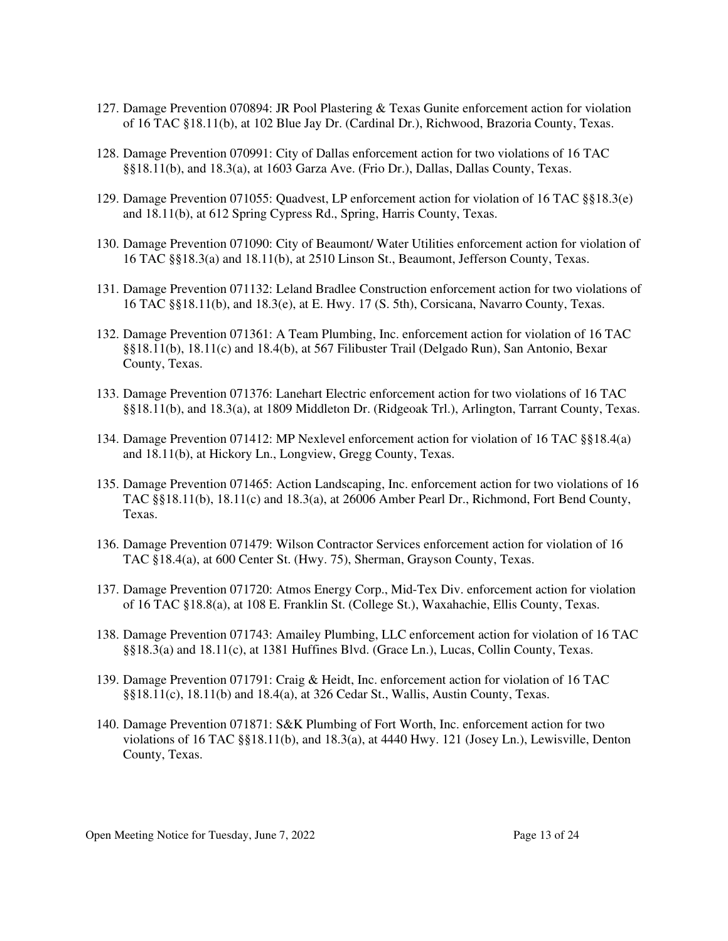- 127. Damage Prevention 070894: JR Pool Plastering & Texas Gunite enforcement action for violation of 16 TAC §18.11(b), at 102 Blue Jay Dr. (Cardinal Dr.), Richwood, Brazoria County, Texas.
- 128. Damage Prevention 070991: City of Dallas enforcement action for two violations of 16 TAC §§18.11(b), and 18.3(a), at 1603 Garza Ave. (Frio Dr.), Dallas, Dallas County, Texas.
- 129. Damage Prevention 071055: Quadvest, LP enforcement action for violation of 16 TAC §§18.3(e) and 18.11(b), at 612 Spring Cypress Rd., Spring, Harris County, Texas.
- 130. Damage Prevention 071090: City of Beaumont/ Water Utilities enforcement action for violation of 16 TAC §§18.3(a) and 18.11(b), at 2510 Linson St., Beaumont, Jefferson County, Texas.
- 131. Damage Prevention 071132: Leland Bradlee Construction enforcement action for two violations of 16 TAC §§18.11(b), and 18.3(e), at E. Hwy. 17 (S. 5th), Corsicana, Navarro County, Texas.
- 132. Damage Prevention 071361: A Team Plumbing, Inc. enforcement action for violation of 16 TAC §§18.11(b), 18.11(c) and 18.4(b), at 567 Filibuster Trail (Delgado Run), San Antonio, Bexar County, Texas.
- 133. Damage Prevention 071376: Lanehart Electric enforcement action for two violations of 16 TAC §§18.11(b), and 18.3(a), at 1809 Middleton Dr. (Ridgeoak Trl.), Arlington, Tarrant County, Texas.
- 134. Damage Prevention 071412: MP Nexlevel enforcement action for violation of 16 TAC §§18.4(a) and 18.11(b), at Hickory Ln., Longview, Gregg County, Texas.
- 135. Damage Prevention 071465: Action Landscaping, Inc. enforcement action for two violations of 16 TAC §§18.11(b), 18.11(c) and 18.3(a), at 26006 Amber Pearl Dr., Richmond, Fort Bend County, Texas.
- 136. Damage Prevention 071479: Wilson Contractor Services enforcement action for violation of 16 TAC §18.4(a), at 600 Center St. (Hwy. 75), Sherman, Grayson County, Texas.
- 137. Damage Prevention 071720: Atmos Energy Corp., Mid-Tex Div. enforcement action for violation of 16 TAC §18.8(a), at 108 E. Franklin St. (College St.), Waxahachie, Ellis County, Texas.
- 138. Damage Prevention 071743: Amailey Plumbing, LLC enforcement action for violation of 16 TAC §§18.3(a) and 18.11(c), at 1381 Huffines Blvd. (Grace Ln.), Lucas, Collin County, Texas.
- 139. Damage Prevention 071791: Craig & Heidt, Inc. enforcement action for violation of 16 TAC §§18.11(c), 18.11(b) and 18.4(a), at 326 Cedar St., Wallis, Austin County, Texas.
- 140. Damage Prevention 071871: S&K Plumbing of Fort Worth, Inc. enforcement action for two violations of 16 TAC §§18.11(b), and 18.3(a), at 4440 Hwy. 121 (Josey Ln.), Lewisville, Denton County, Texas.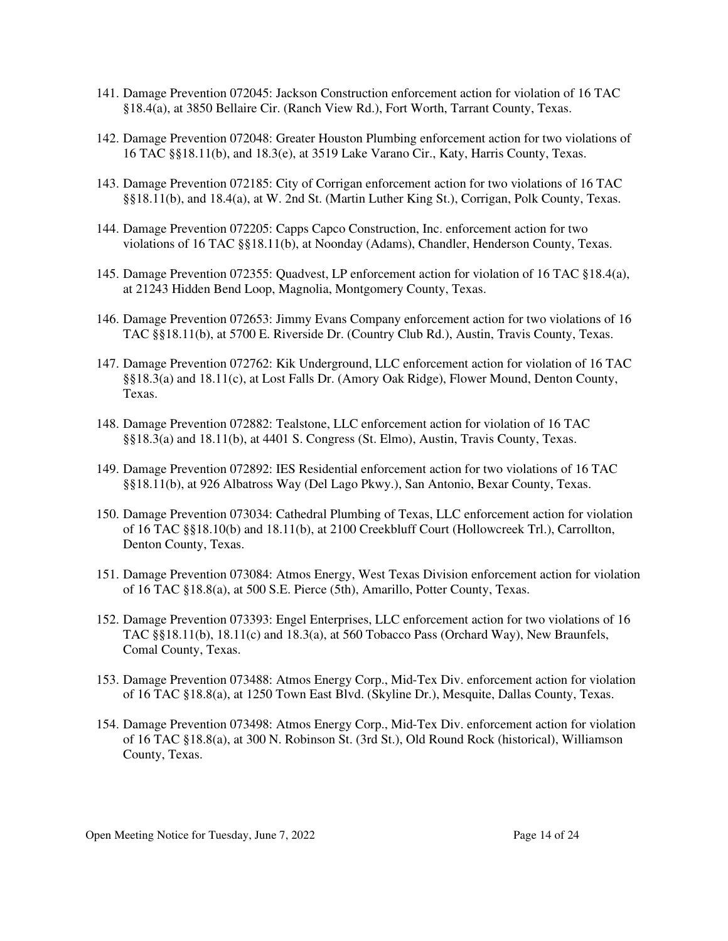- 141. Damage Prevention 072045: Jackson Construction enforcement action for violation of 16 TAC §18.4(a), at 3850 Bellaire Cir. (Ranch View Rd.), Fort Worth, Tarrant County, Texas.
- 142. Damage Prevention 072048: Greater Houston Plumbing enforcement action for two violations of 16 TAC §§18.11(b), and 18.3(e), at 3519 Lake Varano Cir., Katy, Harris County, Texas.
- 143. Damage Prevention 072185: City of Corrigan enforcement action for two violations of 16 TAC §§18.11(b), and 18.4(a), at W. 2nd St. (Martin Luther King St.), Corrigan, Polk County, Texas.
- 144. Damage Prevention 072205: Capps Capco Construction, Inc. enforcement action for two violations of 16 TAC §§18.11(b), at Noonday (Adams), Chandler, Henderson County, Texas.
- 145. Damage Prevention 072355: Quadvest, LP enforcement action for violation of 16 TAC §18.4(a), at 21243 Hidden Bend Loop, Magnolia, Montgomery County, Texas.
- 146. Damage Prevention 072653: Jimmy Evans Company enforcement action for two violations of 16 TAC §§18.11(b), at 5700 E. Riverside Dr. (Country Club Rd.), Austin, Travis County, Texas.
- 147. Damage Prevention 072762: Kik Underground, LLC enforcement action for violation of 16 TAC §§18.3(a) and 18.11(c), at Lost Falls Dr. (Amory Oak Ridge), Flower Mound, Denton County, Texas.
- 148. Damage Prevention 072882: Tealstone, LLC enforcement action for violation of 16 TAC §§18.3(a) and 18.11(b), at 4401 S. Congress (St. Elmo), Austin, Travis County, Texas.
- 149. Damage Prevention 072892: IES Residential enforcement action for two violations of 16 TAC §§18.11(b), at 926 Albatross Way (Del Lago Pkwy.), San Antonio, Bexar County, Texas.
- 150. Damage Prevention 073034: Cathedral Plumbing of Texas, LLC enforcement action for violation of 16 TAC §§18.10(b) and 18.11(b), at 2100 Creekbluff Court (Hollowcreek Trl.), Carrollton, Denton County, Texas.
- 151. Damage Prevention 073084: Atmos Energy, West Texas Division enforcement action for violation of 16 TAC §18.8(a), at 500 S.E. Pierce (5th), Amarillo, Potter County, Texas.
- 152. Damage Prevention 073393: Engel Enterprises, LLC enforcement action for two violations of 16 TAC  $\S18.11(b)$ ,  $18.11(c)$  and  $18.3(a)$ , at 560 Tobacco Pass (Orchard Way), New Braunfels, Comal County, Texas.
- 153. Damage Prevention 073488: Atmos Energy Corp., Mid-Tex Div. enforcement action for violation of 16 TAC §18.8(a), at 1250 Town East Blvd. (Skyline Dr.), Mesquite, Dallas County, Texas.
- 154. Damage Prevention 073498: Atmos Energy Corp., Mid-Tex Div. enforcement action for violation of 16 TAC §18.8(a), at 300 N. Robinson St. (3rd St.), Old Round Rock (historical), Williamson County, Texas.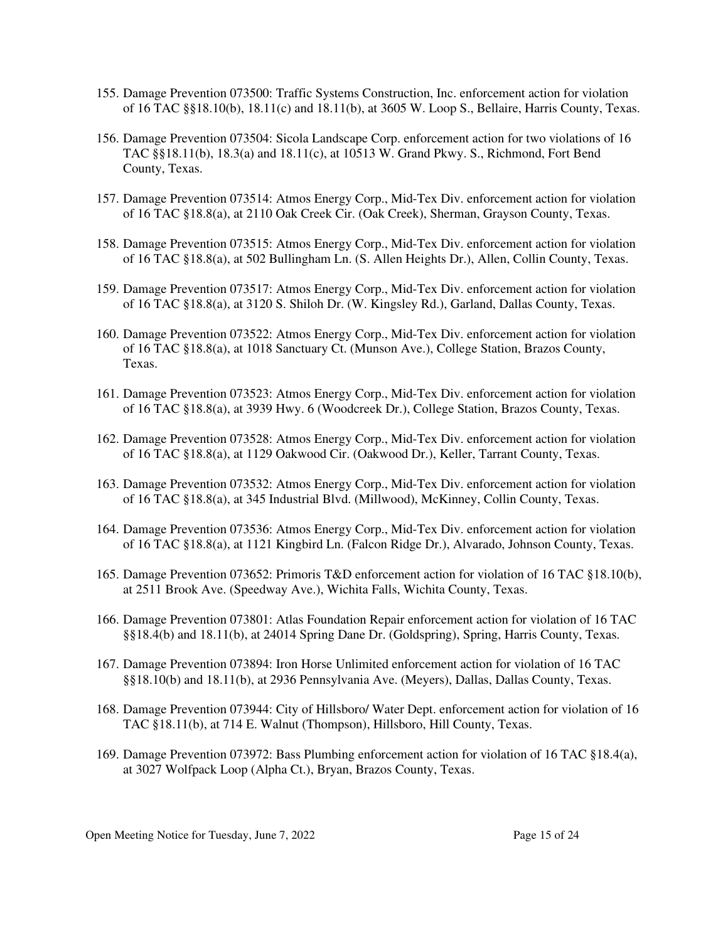- 155. Damage Prevention 073500: Traffic Systems Construction, Inc. enforcement action for violation of 16 TAC §§18.10(b), 18.11(c) and 18.11(b), at 3605 W. Loop S., Bellaire, Harris County, Texas.
- 156. Damage Prevention 073504: Sicola Landscape Corp. enforcement action for two violations of 16 TAC §§18.11(b), 18.3(a) and 18.11(c), at 10513 W. Grand Pkwy. S., Richmond, Fort Bend County, Texas.
- 157. Damage Prevention 073514: Atmos Energy Corp., Mid-Tex Div. enforcement action for violation of 16 TAC §18.8(a), at 2110 Oak Creek Cir. (Oak Creek), Sherman, Grayson County, Texas.
- 158. Damage Prevention 073515: Atmos Energy Corp., Mid-Tex Div. enforcement action for violation of 16 TAC §18.8(a), at 502 Bullingham Ln. (S. Allen Heights Dr.), Allen, Collin County, Texas.
- 159. Damage Prevention 073517: Atmos Energy Corp., Mid-Tex Div. enforcement action for violation of 16 TAC §18.8(a), at 3120 S. Shiloh Dr. (W. Kingsley Rd.), Garland, Dallas County, Texas.
- 160. Damage Prevention 073522: Atmos Energy Corp., Mid-Tex Div. enforcement action for violation of 16 TAC §18.8(a), at 1018 Sanctuary Ct. (Munson Ave.), College Station, Brazos County, Texas.
- 161. Damage Prevention 073523: Atmos Energy Corp., Mid-Tex Div. enforcement action for violation of 16 TAC §18.8(a), at 3939 Hwy. 6 (Woodcreek Dr.), College Station, Brazos County, Texas.
- 162. Damage Prevention 073528: Atmos Energy Corp., Mid-Tex Div. enforcement action for violation of 16 TAC §18.8(a), at 1129 Oakwood Cir. (Oakwood Dr.), Keller, Tarrant County, Texas.
- 163. Damage Prevention 073532: Atmos Energy Corp., Mid-Tex Div. enforcement action for violation of 16 TAC §18.8(a), at 345 Industrial Blvd. (Millwood), McKinney, Collin County, Texas.
- 164. Damage Prevention 073536: Atmos Energy Corp., Mid-Tex Div. enforcement action for violation of 16 TAC §18.8(a), at 1121 Kingbird Ln. (Falcon Ridge Dr.), Alvarado, Johnson County, Texas.
- 165. Damage Prevention 073652: Primoris T&D enforcement action for violation of 16 TAC §18.10(b), at 2511 Brook Ave. (Speedway Ave.), Wichita Falls, Wichita County, Texas.
- 166. Damage Prevention 073801: Atlas Foundation Repair enforcement action for violation of 16 TAC §§18.4(b) and 18.11(b), at 24014 Spring Dane Dr. (Goldspring), Spring, Harris County, Texas.
- 167. Damage Prevention 073894: Iron Horse Unlimited enforcement action for violation of 16 TAC §§18.10(b) and 18.11(b), at 2936 Pennsylvania Ave. (Meyers), Dallas, Dallas County, Texas.
- 168. Damage Prevention 073944: City of Hillsboro/ Water Dept. enforcement action for violation of 16 TAC §18.11(b), at 714 E. Walnut (Thompson), Hillsboro, Hill County, Texas.
- 169. Damage Prevention 073972: Bass Plumbing enforcement action for violation of 16 TAC §18.4(a), at 3027 Wolfpack Loop (Alpha Ct.), Bryan, Brazos County, Texas.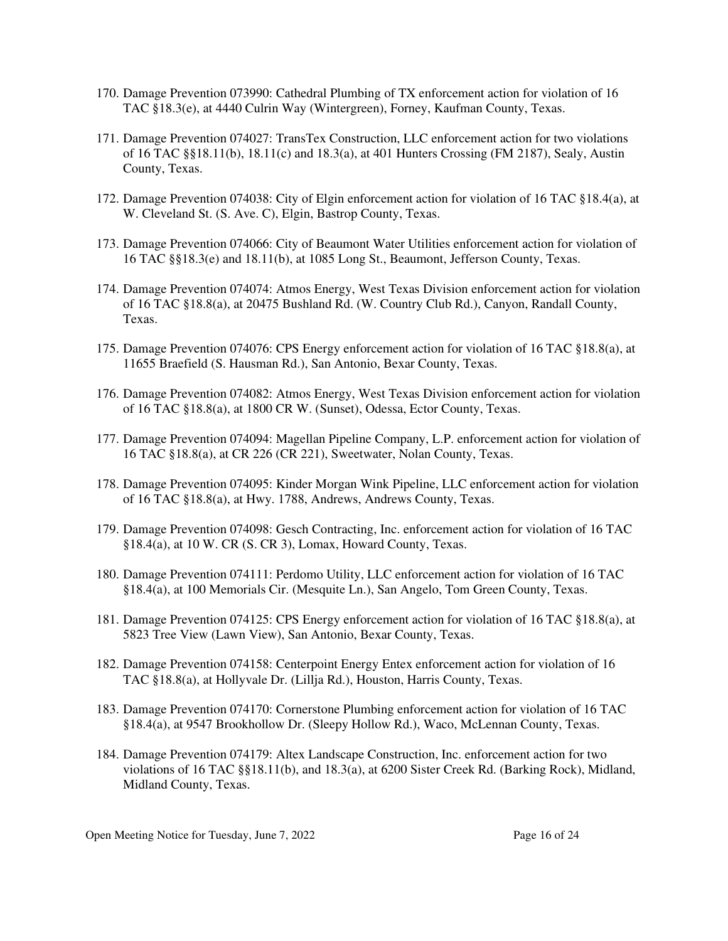- 170. Damage Prevention 073990: Cathedral Plumbing of TX enforcement action for violation of 16 TAC §18.3(e), at 4440 Culrin Way (Wintergreen), Forney, Kaufman County, Texas.
- 171. Damage Prevention 074027: TransTex Construction, LLC enforcement action for two violations of 16 TAC §§18.11(b), 18.11(c) and 18.3(a), at 401 Hunters Crossing (FM 2187), Sealy, Austin County, Texas.
- 172. Damage Prevention 074038: City of Elgin enforcement action for violation of 16 TAC §18.4(a), at W. Cleveland St. (S. Ave. C), Elgin, Bastrop County, Texas.
- 173. Damage Prevention 074066: City of Beaumont Water Utilities enforcement action for violation of 16 TAC §§18.3(e) and 18.11(b), at 1085 Long St., Beaumont, Jefferson County, Texas.
- 174. Damage Prevention 074074: Atmos Energy, West Texas Division enforcement action for violation of 16 TAC §18.8(a), at 20475 Bushland Rd. (W. Country Club Rd.), Canyon, Randall County, Texas.
- 175. Damage Prevention 074076: CPS Energy enforcement action for violation of 16 TAC §18.8(a), at 11655 Braefield (S. Hausman Rd.), San Antonio, Bexar County, Texas.
- 176. Damage Prevention 074082: Atmos Energy, West Texas Division enforcement action for violation of 16 TAC §18.8(a), at 1800 CR W. (Sunset), Odessa, Ector County, Texas.
- 177. Damage Prevention 074094: Magellan Pipeline Company, L.P. enforcement action for violation of 16 TAC §18.8(a), at CR 226 (CR 221), Sweetwater, Nolan County, Texas.
- 178. Damage Prevention 074095: Kinder Morgan Wink Pipeline, LLC enforcement action for violation of 16 TAC §18.8(a), at Hwy. 1788, Andrews, Andrews County, Texas.
- 179. Damage Prevention 074098: Gesch Contracting, Inc. enforcement action for violation of 16 TAC §18.4(a), at 10 W. CR (S. CR 3), Lomax, Howard County, Texas.
- 180. Damage Prevention 074111: Perdomo Utility, LLC enforcement action for violation of 16 TAC §18.4(a), at 100 Memorials Cir. (Mesquite Ln.), San Angelo, Tom Green County, Texas.
- 181. Damage Prevention 074125: CPS Energy enforcement action for violation of 16 TAC §18.8(a), at 5823 Tree View (Lawn View), San Antonio, Bexar County, Texas.
- 182. Damage Prevention 074158: Centerpoint Energy Entex enforcement action for violation of 16 TAC §18.8(a), at Hollyvale Dr. (Lillja Rd.), Houston, Harris County, Texas.
- 183. Damage Prevention 074170: Cornerstone Plumbing enforcement action for violation of 16 TAC §18.4(a), at 9547 Brookhollow Dr. (Sleepy Hollow Rd.), Waco, McLennan County, Texas.
- 184. Damage Prevention 074179: Altex Landscape Construction, Inc. enforcement action for two violations of 16 TAC §§18.11(b), and 18.3(a), at 6200 Sister Creek Rd. (Barking Rock), Midland, Midland County, Texas.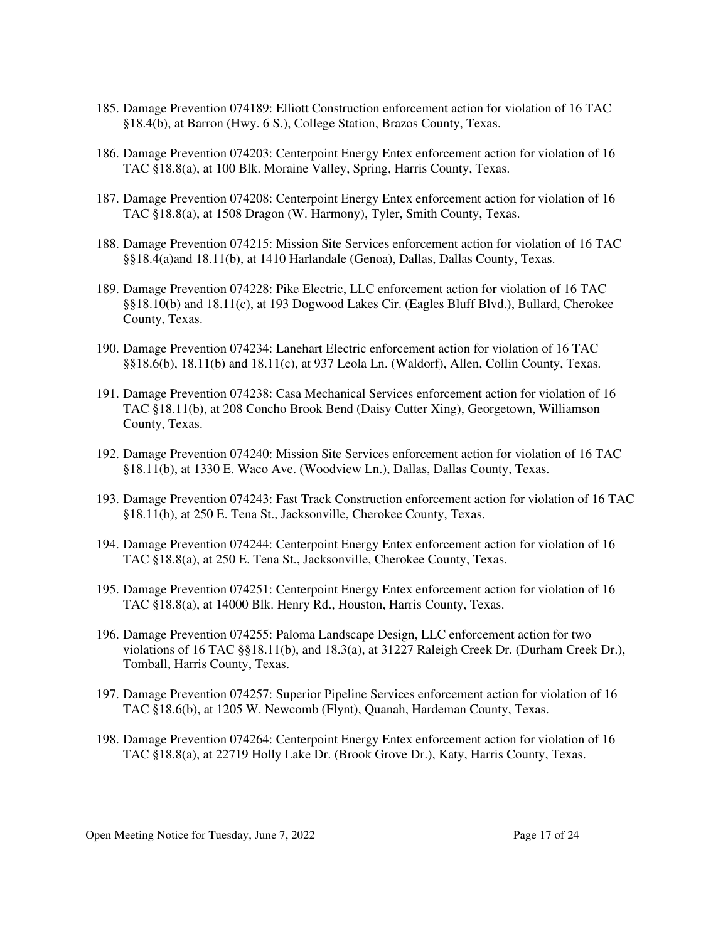- 185. Damage Prevention 074189: Elliott Construction enforcement action for violation of 16 TAC §18.4(b), at Barron (Hwy. 6 S.), College Station, Brazos County, Texas.
- 186. Damage Prevention 074203: Centerpoint Energy Entex enforcement action for violation of 16 TAC §18.8(a), at 100 Blk. Moraine Valley, Spring, Harris County, Texas.
- 187. Damage Prevention 074208: Centerpoint Energy Entex enforcement action for violation of 16 TAC §18.8(a), at 1508 Dragon (W. Harmony), Tyler, Smith County, Texas.
- 188. Damage Prevention 074215: Mission Site Services enforcement action for violation of 16 TAC §§18.4(a)and 18.11(b), at 1410 Harlandale (Genoa), Dallas, Dallas County, Texas.
- 189. Damage Prevention 074228: Pike Electric, LLC enforcement action for violation of 16 TAC §§18.10(b) and 18.11(c), at 193 Dogwood Lakes Cir. (Eagles Bluff Blvd.), Bullard, Cherokee County, Texas.
- 190. Damage Prevention 074234: Lanehart Electric enforcement action for violation of 16 TAC §§18.6(b), 18.11(b) and 18.11(c), at 937 Leola Ln. (Waldorf), Allen, Collin County, Texas.
- 191. Damage Prevention 074238: Casa Mechanical Services enforcement action for violation of 16 TAC §18.11(b), at 208 Concho Brook Bend (Daisy Cutter Xing), Georgetown, Williamson County, Texas.
- 192. Damage Prevention 074240: Mission Site Services enforcement action for violation of 16 TAC §18.11(b), at 1330 E. Waco Ave. (Woodview Ln.), Dallas, Dallas County, Texas.
- 193. Damage Prevention 074243: Fast Track Construction enforcement action for violation of 16 TAC §18.11(b), at 250 E. Tena St., Jacksonville, Cherokee County, Texas.
- 194. Damage Prevention 074244: Centerpoint Energy Entex enforcement action for violation of 16 TAC §18.8(a), at 250 E. Tena St., Jacksonville, Cherokee County, Texas.
- 195. Damage Prevention 074251: Centerpoint Energy Entex enforcement action for violation of 16 TAC §18.8(a), at 14000 Blk. Henry Rd., Houston, Harris County, Texas.
- 196. Damage Prevention 074255: Paloma Landscape Design, LLC enforcement action for two violations of 16 TAC §§18.11(b), and 18.3(a), at 31227 Raleigh Creek Dr. (Durham Creek Dr.), Tomball, Harris County, Texas.
- 197. Damage Prevention 074257: Superior Pipeline Services enforcement action for violation of 16 TAC §18.6(b), at 1205 W. Newcomb (Flynt), Quanah, Hardeman County, Texas.
- 198. Damage Prevention 074264: Centerpoint Energy Entex enforcement action for violation of 16 TAC §18.8(a), at 22719 Holly Lake Dr. (Brook Grove Dr.), Katy, Harris County, Texas.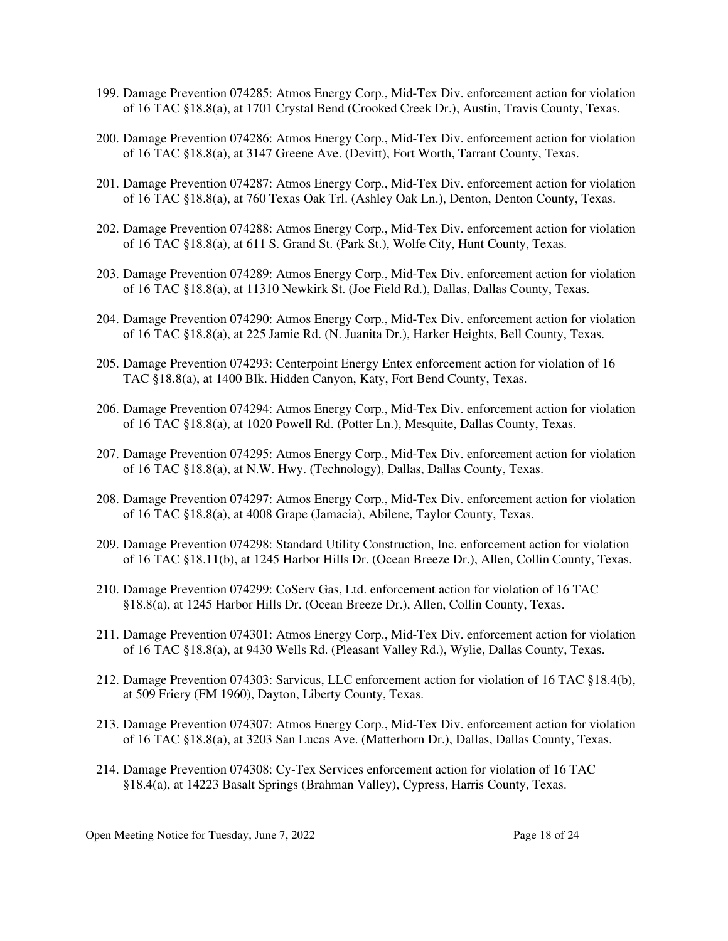- 199. Damage Prevention 074285: Atmos Energy Corp., Mid-Tex Div. enforcement action for violation of 16 TAC §18.8(a), at 1701 Crystal Bend (Crooked Creek Dr.), Austin, Travis County, Texas.
- 200. Damage Prevention 074286: Atmos Energy Corp., Mid-Tex Div. enforcement action for violation of 16 TAC §18.8(a), at 3147 Greene Ave. (Devitt), Fort Worth, Tarrant County, Texas.
- 201. Damage Prevention 074287: Atmos Energy Corp., Mid-Tex Div. enforcement action for violation of 16 TAC §18.8(a), at 760 Texas Oak Trl. (Ashley Oak Ln.), Denton, Denton County, Texas.
- 202. Damage Prevention 074288: Atmos Energy Corp., Mid-Tex Div. enforcement action for violation of 16 TAC §18.8(a), at 611 S. Grand St. (Park St.), Wolfe City, Hunt County, Texas.
- 203. Damage Prevention 074289: Atmos Energy Corp., Mid-Tex Div. enforcement action for violation of 16 TAC §18.8(a), at 11310 Newkirk St. (Joe Field Rd.), Dallas, Dallas County, Texas.
- 204. Damage Prevention 074290: Atmos Energy Corp., Mid-Tex Div. enforcement action for violation of 16 TAC §18.8(a), at 225 Jamie Rd. (N. Juanita Dr.), Harker Heights, Bell County, Texas.
- 205. Damage Prevention 074293: Centerpoint Energy Entex enforcement action for violation of 16 TAC §18.8(a), at 1400 Blk. Hidden Canyon, Katy, Fort Bend County, Texas.
- 206. Damage Prevention 074294: Atmos Energy Corp., Mid-Tex Div. enforcement action for violation of 16 TAC §18.8(a), at 1020 Powell Rd. (Potter Ln.), Mesquite, Dallas County, Texas.
- 207. Damage Prevention 074295: Atmos Energy Corp., Mid-Tex Div. enforcement action for violation of 16 TAC §18.8(a), at N.W. Hwy. (Technology), Dallas, Dallas County, Texas.
- 208. Damage Prevention 074297: Atmos Energy Corp., Mid-Tex Div. enforcement action for violation of 16 TAC §18.8(a), at 4008 Grape (Jamacia), Abilene, Taylor County, Texas.
- 209. Damage Prevention 074298: Standard Utility Construction, Inc. enforcement action for violation of 16 TAC §18.11(b), at 1245 Harbor Hills Dr. (Ocean Breeze Dr.), Allen, Collin County, Texas.
- 210. Damage Prevention 074299: CoServ Gas, Ltd. enforcement action for violation of 16 TAC §18.8(a), at 1245 Harbor Hills Dr. (Ocean Breeze Dr.), Allen, Collin County, Texas.
- 211. Damage Prevention 074301: Atmos Energy Corp., Mid-Tex Div. enforcement action for violation of 16 TAC §18.8(a), at 9430 Wells Rd. (Pleasant Valley Rd.), Wylie, Dallas County, Texas.
- 212. Damage Prevention 074303: Sarvicus, LLC enforcement action for violation of 16 TAC §18.4(b), at 509 Friery (FM 1960), Dayton, Liberty County, Texas.
- 213. Damage Prevention 074307: Atmos Energy Corp., Mid-Tex Div. enforcement action for violation of 16 TAC §18.8(a), at 3203 San Lucas Ave. (Matterhorn Dr.), Dallas, Dallas County, Texas.
- 214. Damage Prevention 074308: Cy-Tex Services enforcement action for violation of 16 TAC §18.4(a), at 14223 Basalt Springs (Brahman Valley), Cypress, Harris County, Texas.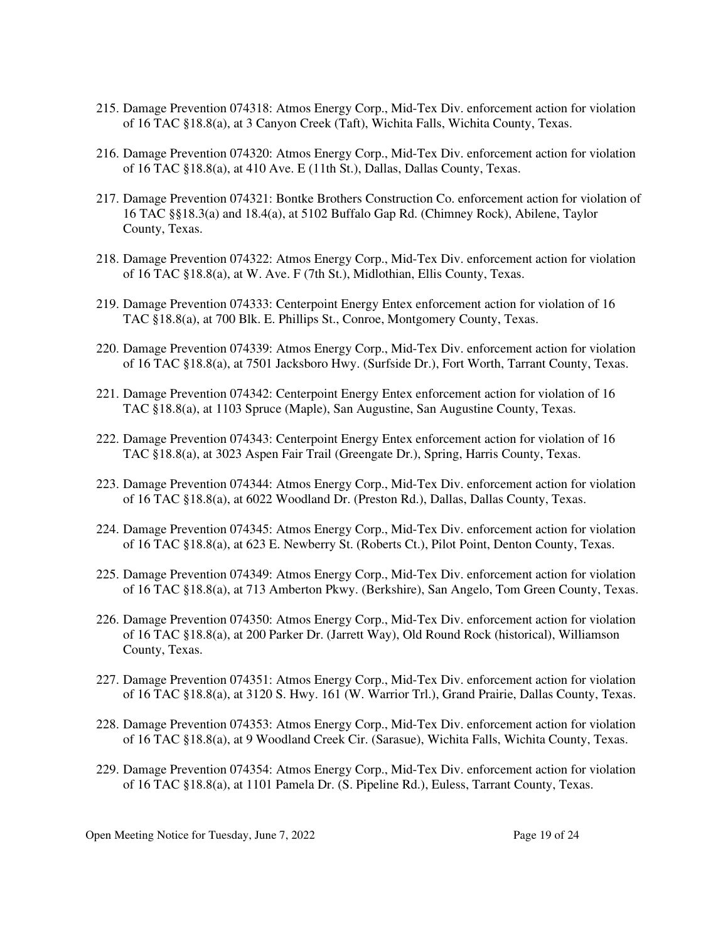- 215. Damage Prevention 074318: Atmos Energy Corp., Mid-Tex Div. enforcement action for violation of 16 TAC §18.8(a), at 3 Canyon Creek (Taft), Wichita Falls, Wichita County, Texas.
- 216. Damage Prevention 074320: Atmos Energy Corp., Mid-Tex Div. enforcement action for violation of 16 TAC §18.8(a), at 410 Ave. E (11th St.), Dallas, Dallas County, Texas.
- 217. Damage Prevention 074321: Bontke Brothers Construction Co. enforcement action for violation of 16 TAC §§18.3(a) and 18.4(a), at 5102 Buffalo Gap Rd. (Chimney Rock), Abilene, Taylor County, Texas.
- 218. Damage Prevention 074322: Atmos Energy Corp., Mid-Tex Div. enforcement action for violation of 16 TAC §18.8(a), at W. Ave. F (7th St.), Midlothian, Ellis County, Texas.
- 219. Damage Prevention 074333: Centerpoint Energy Entex enforcement action for violation of 16 TAC §18.8(a), at 700 Blk. E. Phillips St., Conroe, Montgomery County, Texas.
- 220. Damage Prevention 074339: Atmos Energy Corp., Mid-Tex Div. enforcement action for violation of 16 TAC §18.8(a), at 7501 Jacksboro Hwy. (Surfside Dr.), Fort Worth, Tarrant County, Texas.
- 221. Damage Prevention 074342: Centerpoint Energy Entex enforcement action for violation of 16 TAC §18.8(a), at 1103 Spruce (Maple), San Augustine, San Augustine County, Texas.
- 222. Damage Prevention 074343: Centerpoint Energy Entex enforcement action for violation of 16 TAC §18.8(a), at 3023 Aspen Fair Trail (Greengate Dr.), Spring, Harris County, Texas.
- 223. Damage Prevention 074344: Atmos Energy Corp., Mid-Tex Div. enforcement action for violation of 16 TAC §18.8(a), at 6022 Woodland Dr. (Preston Rd.), Dallas, Dallas County, Texas.
- 224. Damage Prevention 074345: Atmos Energy Corp., Mid-Tex Div. enforcement action for violation of 16 TAC §18.8(a), at 623 E. Newberry St. (Roberts Ct.), Pilot Point, Denton County, Texas.
- 225. Damage Prevention 074349: Atmos Energy Corp., Mid-Tex Div. enforcement action for violation of 16 TAC §18.8(a), at 713 Amberton Pkwy. (Berkshire), San Angelo, Tom Green County, Texas.
- 226. Damage Prevention 074350: Atmos Energy Corp., Mid-Tex Div. enforcement action for violation of 16 TAC §18.8(a), at 200 Parker Dr. (Jarrett Way), Old Round Rock (historical), Williamson County, Texas.
- 227. Damage Prevention 074351: Atmos Energy Corp., Mid-Tex Div. enforcement action for violation of 16 TAC §18.8(a), at 3120 S. Hwy. 161 (W. Warrior Trl.), Grand Prairie, Dallas County, Texas.
- 228. Damage Prevention 074353: Atmos Energy Corp., Mid-Tex Div. enforcement action for violation of 16 TAC §18.8(a), at 9 Woodland Creek Cir. (Sarasue), Wichita Falls, Wichita County, Texas.
- 229. Damage Prevention 074354: Atmos Energy Corp., Mid-Tex Div. enforcement action for violation of 16 TAC §18.8(a), at 1101 Pamela Dr. (S. Pipeline Rd.), Euless, Tarrant County, Texas.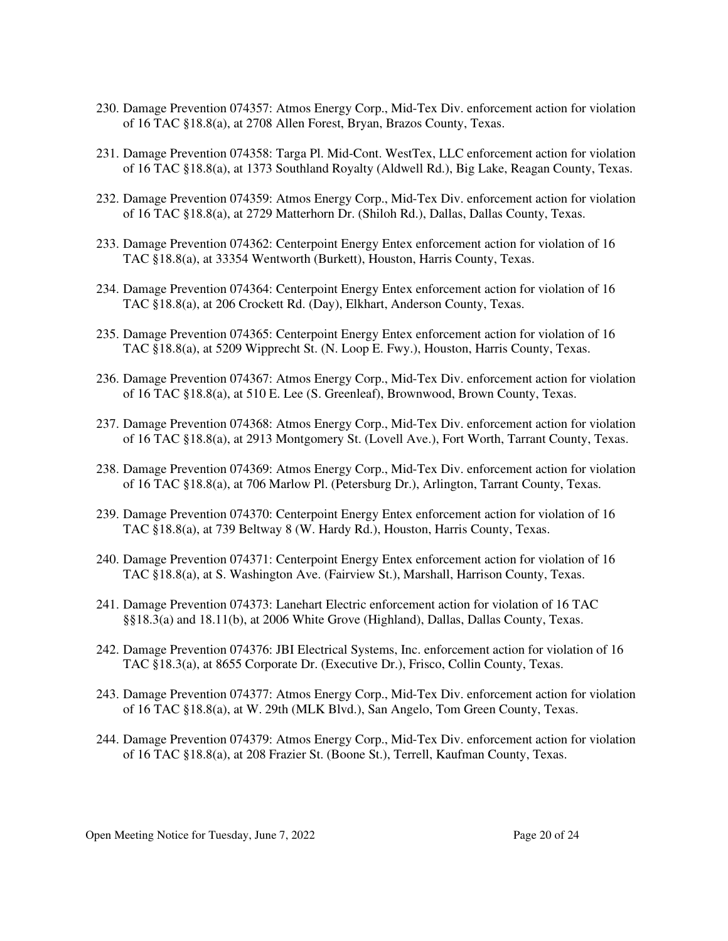- 230. Damage Prevention 074357: Atmos Energy Corp., Mid-Tex Div. enforcement action for violation of 16 TAC §18.8(a), at 2708 Allen Forest, Bryan, Brazos County, Texas.
- 231. Damage Prevention 074358: Targa Pl. Mid-Cont. WestTex, LLC enforcement action for violation of 16 TAC §18.8(a), at 1373 Southland Royalty (Aldwell Rd.), Big Lake, Reagan County, Texas.
- 232. Damage Prevention 074359: Atmos Energy Corp., Mid-Tex Div. enforcement action for violation of 16 TAC §18.8(a), at 2729 Matterhorn Dr. (Shiloh Rd.), Dallas, Dallas County, Texas.
- 233. Damage Prevention 074362: Centerpoint Energy Entex enforcement action for violation of 16 TAC §18.8(a), at 33354 Wentworth (Burkett), Houston, Harris County, Texas.
- 234. Damage Prevention 074364: Centerpoint Energy Entex enforcement action for violation of 16 TAC §18.8(a), at 206 Crockett Rd. (Day), Elkhart, Anderson County, Texas.
- 235. Damage Prevention 074365: Centerpoint Energy Entex enforcement action for violation of 16 TAC §18.8(a), at 5209 Wipprecht St. (N. Loop E. Fwy.), Houston, Harris County, Texas.
- 236. Damage Prevention 074367: Atmos Energy Corp., Mid-Tex Div. enforcement action for violation of 16 TAC §18.8(a), at 510 E. Lee (S. Greenleaf), Brownwood, Brown County, Texas.
- 237. Damage Prevention 074368: Atmos Energy Corp., Mid-Tex Div. enforcement action for violation of 16 TAC §18.8(a), at 2913 Montgomery St. (Lovell Ave.), Fort Worth, Tarrant County, Texas.
- 238. Damage Prevention 074369: Atmos Energy Corp., Mid-Tex Div. enforcement action for violation of 16 TAC §18.8(a), at 706 Marlow Pl. (Petersburg Dr.), Arlington, Tarrant County, Texas.
- 239. Damage Prevention 074370: Centerpoint Energy Entex enforcement action for violation of 16 TAC §18.8(a), at 739 Beltway 8 (W. Hardy Rd.), Houston, Harris County, Texas.
- 240. Damage Prevention 074371: Centerpoint Energy Entex enforcement action for violation of 16 TAC §18.8(a), at S. Washington Ave. (Fairview St.), Marshall, Harrison County, Texas.
- 241. Damage Prevention 074373: Lanehart Electric enforcement action for violation of 16 TAC §§18.3(a) and 18.11(b), at 2006 White Grove (Highland), Dallas, Dallas County, Texas.
- 242. Damage Prevention 074376: JBI Electrical Systems, Inc. enforcement action for violation of 16 TAC §18.3(a), at 8655 Corporate Dr. (Executive Dr.), Frisco, Collin County, Texas.
- 243. Damage Prevention 074377: Atmos Energy Corp., Mid-Tex Div. enforcement action for violation of 16 TAC §18.8(a), at W. 29th (MLK Blvd.), San Angelo, Tom Green County, Texas.
- 244. Damage Prevention 074379: Atmos Energy Corp., Mid-Tex Div. enforcement action for violation of 16 TAC §18.8(a), at 208 Frazier St. (Boone St.), Terrell, Kaufman County, Texas.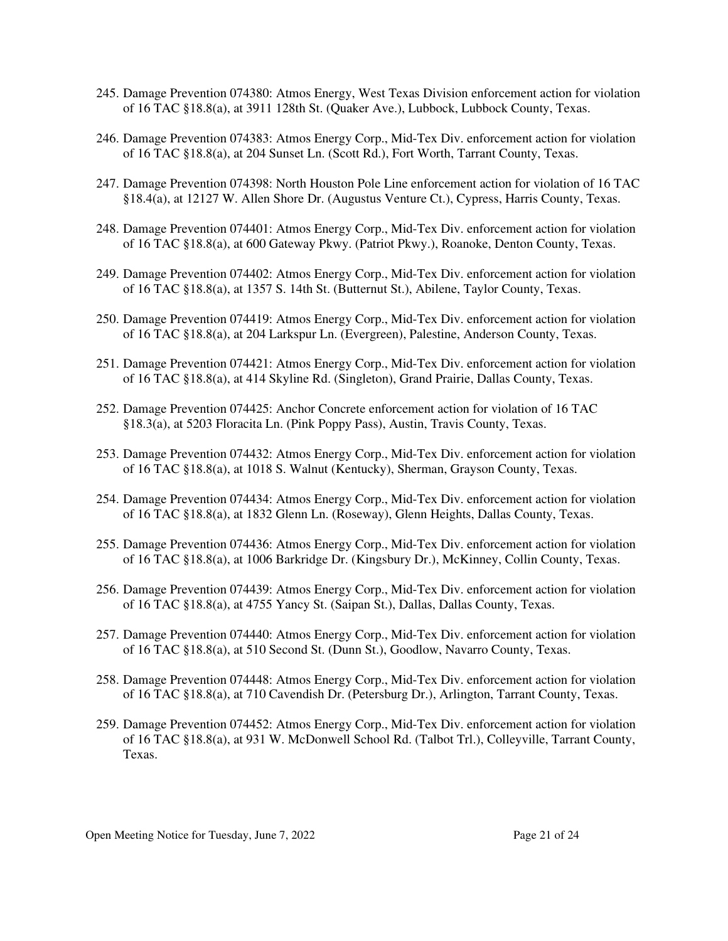- 245. Damage Prevention 074380: Atmos Energy, West Texas Division enforcement action for violation of 16 TAC §18.8(a), at 3911 128th St. (Quaker Ave.), Lubbock, Lubbock County, Texas.
- 246. Damage Prevention 074383: Atmos Energy Corp., Mid-Tex Div. enforcement action for violation of 16 TAC §18.8(a), at 204 Sunset Ln. (Scott Rd.), Fort Worth, Tarrant County, Texas.
- 247. Damage Prevention 074398: North Houston Pole Line enforcement action for violation of 16 TAC §18.4(a), at 12127 W. Allen Shore Dr. (Augustus Venture Ct.), Cypress, Harris County, Texas.
- 248. Damage Prevention 074401: Atmos Energy Corp., Mid-Tex Div. enforcement action for violation of 16 TAC §18.8(a), at 600 Gateway Pkwy. (Patriot Pkwy.), Roanoke, Denton County, Texas.
- 249. Damage Prevention 074402: Atmos Energy Corp., Mid-Tex Div. enforcement action for violation of 16 TAC §18.8(a), at 1357 S. 14th St. (Butternut St.), Abilene, Taylor County, Texas.
- 250. Damage Prevention 074419: Atmos Energy Corp., Mid-Tex Div. enforcement action for violation of 16 TAC §18.8(a), at 204 Larkspur Ln. (Evergreen), Palestine, Anderson County, Texas.
- 251. Damage Prevention 074421: Atmos Energy Corp., Mid-Tex Div. enforcement action for violation of 16 TAC §18.8(a), at 414 Skyline Rd. (Singleton), Grand Prairie, Dallas County, Texas.
- 252. Damage Prevention 074425: Anchor Concrete enforcement action for violation of 16 TAC §18.3(a), at 5203 Floracita Ln. (Pink Poppy Pass), Austin, Travis County, Texas.
- 253. Damage Prevention 074432: Atmos Energy Corp., Mid-Tex Div. enforcement action for violation of 16 TAC §18.8(a), at 1018 S. Walnut (Kentucky), Sherman, Grayson County, Texas.
- 254. Damage Prevention 074434: Atmos Energy Corp., Mid-Tex Div. enforcement action for violation of 16 TAC §18.8(a), at 1832 Glenn Ln. (Roseway), Glenn Heights, Dallas County, Texas.
- 255. Damage Prevention 074436: Atmos Energy Corp., Mid-Tex Div. enforcement action for violation of 16 TAC §18.8(a), at 1006 Barkridge Dr. (Kingsbury Dr.), McKinney, Collin County, Texas.
- 256. Damage Prevention 074439: Atmos Energy Corp., Mid-Tex Div. enforcement action for violation of 16 TAC §18.8(a), at 4755 Yancy St. (Saipan St.), Dallas, Dallas County, Texas.
- 257. Damage Prevention 074440: Atmos Energy Corp., Mid-Tex Div. enforcement action for violation of 16 TAC §18.8(a), at 510 Second St. (Dunn St.), Goodlow, Navarro County, Texas.
- 258. Damage Prevention 074448: Atmos Energy Corp., Mid-Tex Div. enforcement action for violation of 16 TAC §18.8(a), at 710 Cavendish Dr. (Petersburg Dr.), Arlington, Tarrant County, Texas.
- 259. Damage Prevention 074452: Atmos Energy Corp., Mid-Tex Div. enforcement action for violation of 16 TAC §18.8(a), at 931 W. McDonwell School Rd. (Talbot Trl.), Colleyville, Tarrant County, Texas.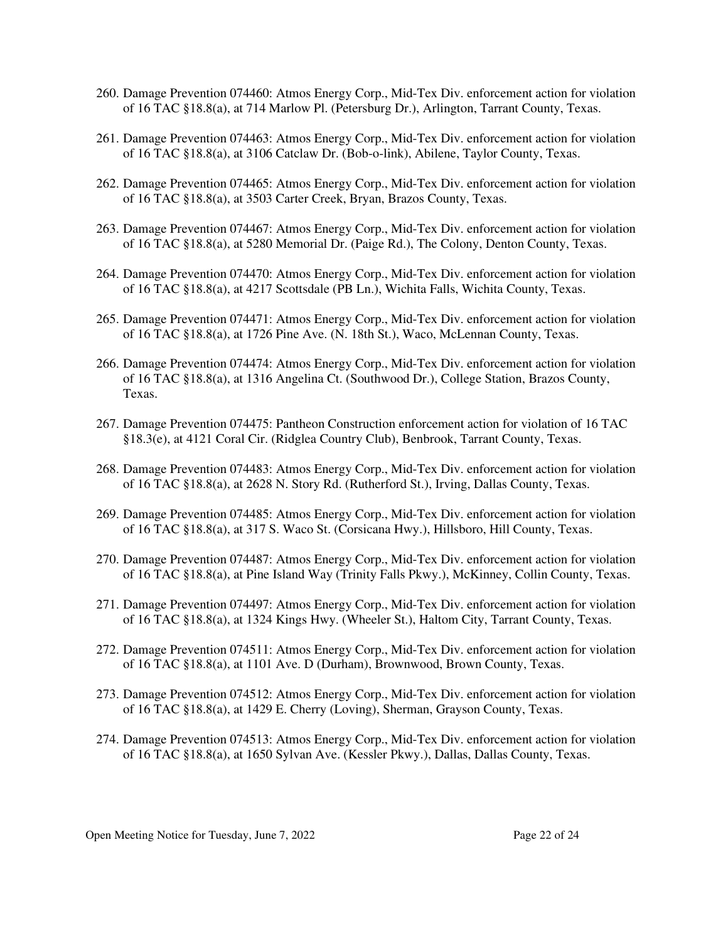- 260. Damage Prevention 074460: Atmos Energy Corp., Mid-Tex Div. enforcement action for violation of 16 TAC §18.8(a), at 714 Marlow Pl. (Petersburg Dr.), Arlington, Tarrant County, Texas.
- 261. Damage Prevention 074463: Atmos Energy Corp., Mid-Tex Div. enforcement action for violation of 16 TAC §18.8(a), at 3106 Catclaw Dr. (Bob-o-link), Abilene, Taylor County, Texas.
- 262. Damage Prevention 074465: Atmos Energy Corp., Mid-Tex Div. enforcement action for violation of 16 TAC §18.8(a), at 3503 Carter Creek, Bryan, Brazos County, Texas.
- 263. Damage Prevention 074467: Atmos Energy Corp., Mid-Tex Div. enforcement action for violation of 16 TAC §18.8(a), at 5280 Memorial Dr. (Paige Rd.), The Colony, Denton County, Texas.
- 264. Damage Prevention 074470: Atmos Energy Corp., Mid-Tex Div. enforcement action for violation of 16 TAC §18.8(a), at 4217 Scottsdale (PB Ln.), Wichita Falls, Wichita County, Texas.
- 265. Damage Prevention 074471: Atmos Energy Corp., Mid-Tex Div. enforcement action for violation of 16 TAC §18.8(a), at 1726 Pine Ave. (N. 18th St.), Waco, McLennan County, Texas.
- 266. Damage Prevention 074474: Atmos Energy Corp., Mid-Tex Div. enforcement action for violation of 16 TAC §18.8(a), at 1316 Angelina Ct. (Southwood Dr.), College Station, Brazos County, Texas.
- 267. Damage Prevention 074475: Pantheon Construction enforcement action for violation of 16 TAC §18.3(e), at 4121 Coral Cir. (Ridglea Country Club), Benbrook, Tarrant County, Texas.
- 268. Damage Prevention 074483: Atmos Energy Corp., Mid-Tex Div. enforcement action for violation of 16 TAC §18.8(a), at 2628 N. Story Rd. (Rutherford St.), Irving, Dallas County, Texas.
- 269. Damage Prevention 074485: Atmos Energy Corp., Mid-Tex Div. enforcement action for violation of 16 TAC §18.8(a), at 317 S. Waco St. (Corsicana Hwy.), Hillsboro, Hill County, Texas.
- 270. Damage Prevention 074487: Atmos Energy Corp., Mid-Tex Div. enforcement action for violation of 16 TAC §18.8(a), at Pine Island Way (Trinity Falls Pkwy.), McKinney, Collin County, Texas.
- 271. Damage Prevention 074497: Atmos Energy Corp., Mid-Tex Div. enforcement action for violation of 16 TAC §18.8(a), at 1324 Kings Hwy. (Wheeler St.), Haltom City, Tarrant County, Texas.
- 272. Damage Prevention 074511: Atmos Energy Corp., Mid-Tex Div. enforcement action for violation of 16 TAC §18.8(a), at 1101 Ave. D (Durham), Brownwood, Brown County, Texas.
- 273. Damage Prevention 074512: Atmos Energy Corp., Mid-Tex Div. enforcement action for violation of 16 TAC §18.8(a), at 1429 E. Cherry (Loving), Sherman, Grayson County, Texas.
- 274. Damage Prevention 074513: Atmos Energy Corp., Mid-Tex Div. enforcement action for violation of 16 TAC §18.8(a), at 1650 Sylvan Ave. (Kessler Pkwy.), Dallas, Dallas County, Texas.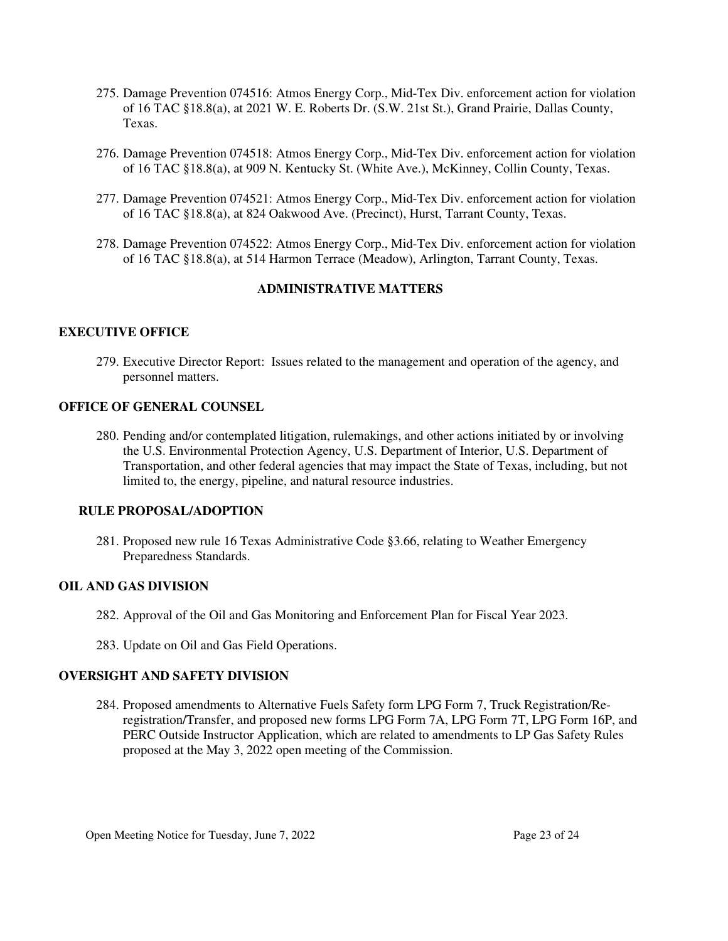- 275. Damage Prevention 074516: Atmos Energy Corp., Mid-Tex Div. enforcement action for violation of 16 TAC §18.8(a), at 2021 W. E. Roberts Dr. (S.W. 21st St.), Grand Prairie, Dallas County, Texas.
- 276. Damage Prevention 074518: Atmos Energy Corp., Mid-Tex Div. enforcement action for violation of 16 TAC §18.8(a), at 909 N. Kentucky St. (White Ave.), McKinney, Collin County, Texas.
- 277. Damage Prevention 074521: Atmos Energy Corp., Mid-Tex Div. enforcement action for violation of 16 TAC §18.8(a), at 824 Oakwood Ave. (Precinct), Hurst, Tarrant County, Texas.
- 278. Damage Prevention 074522: Atmos Energy Corp., Mid-Tex Div. enforcement action for violation of 16 TAC §18.8(a), at 514 Harmon Terrace (Meadow), Arlington, Tarrant County, Texas.

### **ADMINISTRATIVE MATTERS**

### **EXECUTIVE OFFICE**

279. Executive Director Report: Issues related to the management and operation of the agency, and personnel matters.

### **OFFICE OF GENERAL COUNSEL**

280. Pending and/or contemplated litigation, rulemakings, and other actions initiated by or involving the U.S. Environmental Protection Agency, U.S. Department of Interior, U.S. Department of Transportation, and other federal agencies that may impact the State of Texas, including, but not limited to, the energy, pipeline, and natural resource industries.

### **RULE PROPOSAL/ADOPTION**

281. Proposed new rule 16 Texas Administrative Code §3.66, relating to Weather Emergency Preparedness Standards.

### **OIL AND GAS DIVISION**

- 282. Approval of the Oil and Gas Monitoring and Enforcement Plan for Fiscal Year 2023.
- 283. Update on Oil and Gas Field Operations.

### **OVERSIGHT AND SAFETY DIVISION**

284. Proposed amendments to Alternative Fuels Safety form LPG Form 7, Truck Registration/Reregistration/Transfer, and proposed new forms LPG Form 7A, LPG Form 7T, LPG Form 16P, and PERC Outside Instructor Application, which are related to amendments to LP Gas Safety Rules proposed at the May 3, 2022 open meeting of the Commission.